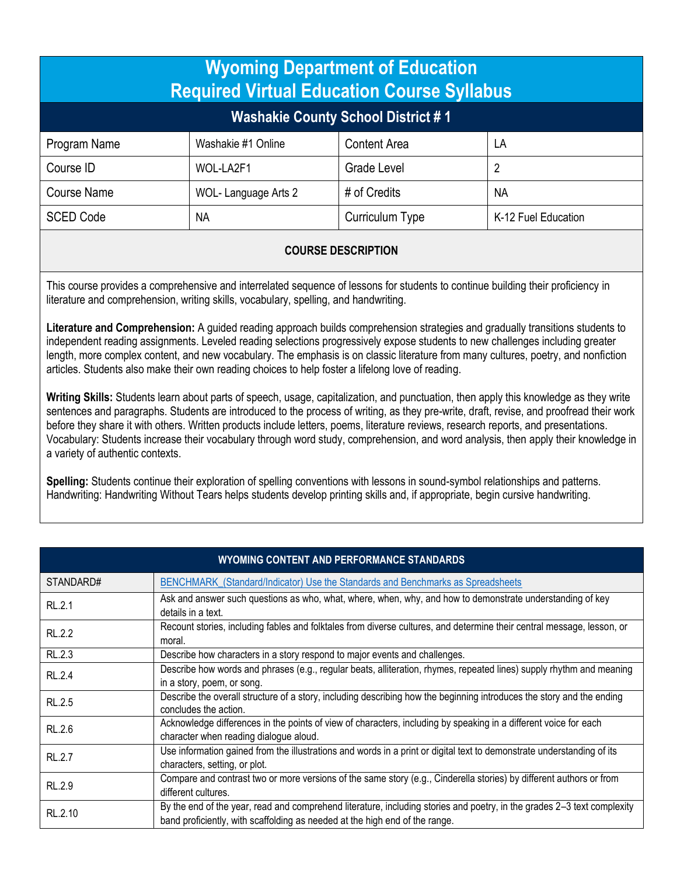| <b>Wyoming Department of Education</b><br><b>Required Virtual Education Course Syllabus</b> |                     |                     |                     |  |
|---------------------------------------------------------------------------------------------|---------------------|---------------------|---------------------|--|
| <b>Washakie County School District #1</b>                                                   |                     |                     |                     |  |
| Program Name                                                                                | Washakie #1 Online  | <b>Content Area</b> | LA                  |  |
| Course ID                                                                                   | WOL-LA2F1           | Grade Level         | 2                   |  |
| <b>Course Name</b>                                                                          | WOL-Language Arts 2 | # of Credits        | <b>NA</b>           |  |
| <b>SCED Code</b>                                                                            | <b>NA</b>           | Curriculum Type     | K-12 Fuel Education |  |

## **COURSE DESCRIPTION**

This course provides a comprehensive and interrelated sequence of lessons for students to continue building their proficiency in literature and comprehension, writing skills, vocabulary, spelling, and handwriting.

**Literature and Comprehension:** A guided reading approach builds comprehension strategies and gradually transitions students to independent reading assignments. Leveled reading selections progressively expose students to new challenges including greater length, more complex content, and new vocabulary. The emphasis is on classic literature from many cultures, poetry, and nonfiction articles. Students also make their own reading choices to help foster a lifelong love of reading.

**Writing Skills:** Students learn about parts of speech, usage, capitalization, and punctuation, then apply this knowledge as they write sentences and paragraphs. Students are introduced to the process of writing, as they pre-write, draft, revise, and proofread their work before they share it with others. Written products include letters, poems, literature reviews, research reports, and presentations. Vocabulary: Students increase their vocabulary through word study, comprehension, and word analysis, then apply their knowledge in a variety of authentic contexts.

**Spelling:** Students continue their exploration of spelling conventions with lessons in sound-symbol relationships and patterns. Handwriting: Handwriting Without Tears helps students develop printing skills and, if appropriate, begin cursive handwriting.

| <b>WYOMING CONTENT AND PERFORMANCE STANDARDS</b> |                                                                                                                                                                                                        |  |
|--------------------------------------------------|--------------------------------------------------------------------------------------------------------------------------------------------------------------------------------------------------------|--|
| STANDARD#                                        | BENCHMARK_(Standard/Indicator) Use the Standards and Benchmarks as Spreadsheets                                                                                                                        |  |
| <b>RL.2.1</b>                                    | Ask and answer such questions as who, what, where, when, why, and how to demonstrate understanding of key<br>details in a text.                                                                        |  |
| RL.2.2                                           | Recount stories, including fables and folktales from diverse cultures, and determine their central message, lesson, or<br>moral.                                                                       |  |
| RL.2.3                                           | Describe how characters in a story respond to major events and challenges.                                                                                                                             |  |
| RL.2.4                                           | Describe how words and phrases (e.g., regular beats, alliteration, rhymes, repeated lines) supply rhythm and meaning<br>in a story, poem, or song.                                                     |  |
| RL.2.5                                           | Describe the overall structure of a story, including describing how the beginning introduces the story and the ending<br>concludes the action.                                                         |  |
| RL.2.6                                           | Acknowledge differences in the points of view of characters, including by speaking in a different voice for each<br>character when reading dialogue aloud.                                             |  |
| <b>RL.2.7</b>                                    | Use information gained from the illustrations and words in a print or digital text to demonstrate understanding of its<br>characters, setting, or plot.                                                |  |
| RL.2.9                                           | Compare and contrast two or more versions of the same story (e.g., Cinderella stories) by different authors or from<br>different cultures.                                                             |  |
| RL.2.10                                          | By the end of the year, read and comprehend literature, including stories and poetry, in the grades 2-3 text complexity<br>band proficiently, with scaffolding as needed at the high end of the range. |  |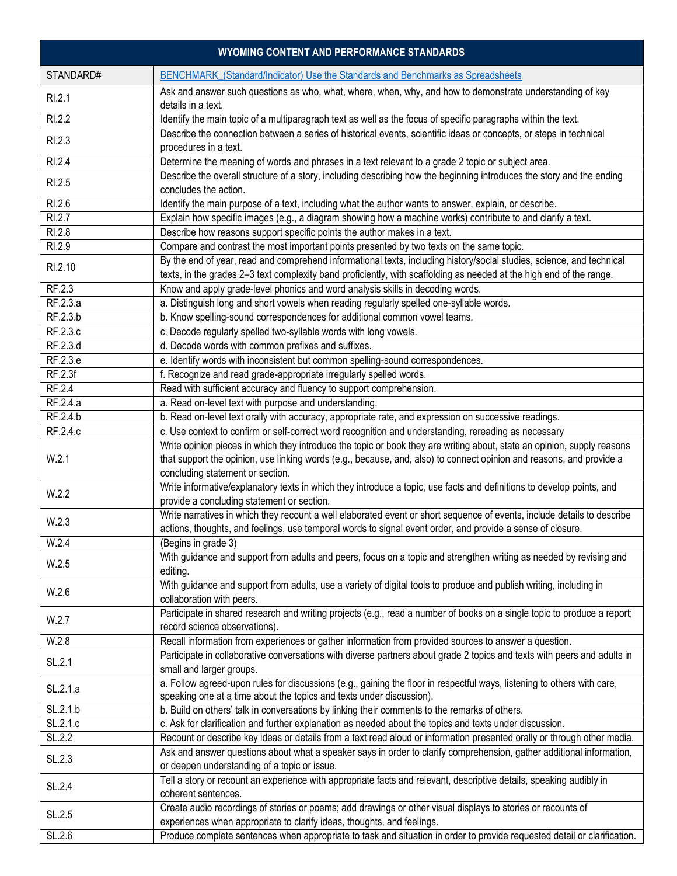| WYOMING CONTENT AND PERFORMANCE STANDARDS |                                                                                                                                                                                                                                                                                     |  |
|-------------------------------------------|-------------------------------------------------------------------------------------------------------------------------------------------------------------------------------------------------------------------------------------------------------------------------------------|--|
| STANDARD#                                 | BENCHMARK_(Standard/Indicator) Use the Standards and Benchmarks as Spreadsheets                                                                                                                                                                                                     |  |
| RI.2.1                                    | Ask and answer such questions as who, what, where, when, why, and how to demonstrate understanding of key<br>details in a text.                                                                                                                                                     |  |
| R1.2.2                                    | Identify the main topic of a multiparagraph text as well as the focus of specific paragraphs within the text.                                                                                                                                                                       |  |
| RI.2.3                                    | Describe the connection between a series of historical events, scientific ideas or concepts, or steps in technical<br>procedures in a text.                                                                                                                                         |  |
| RI.2.4                                    | Determine the meaning of words and phrases in a text relevant to a grade 2 topic or subject area.                                                                                                                                                                                   |  |
| RI.2.5                                    | Describe the overall structure of a story, including describing how the beginning introduces the story and the ending<br>concludes the action.                                                                                                                                      |  |
| RI.2.6                                    | Identify the main purpose of a text, including what the author wants to answer, explain, or describe.                                                                                                                                                                               |  |
| RI.2.7                                    | Explain how specific images (e.g., a diagram showing how a machine works) contribute to and clarify a text.                                                                                                                                                                         |  |
| RI.2.8                                    | Describe how reasons support specific points the author makes in a text.                                                                                                                                                                                                            |  |
| RI.2.9                                    | Compare and contrast the most important points presented by two texts on the same topic.                                                                                                                                                                                            |  |
| RI.2.10                                   | By the end of year, read and comprehend informational texts, including history/social studies, science, and technical<br>texts, in the grades 2-3 text complexity band proficiently, with scaffolding as needed at the high end of the range.                                       |  |
| RF.2.3                                    | Know and apply grade-level phonics and word analysis skills in decoding words.                                                                                                                                                                                                      |  |
| RF.2.3.a                                  | a. Distinguish long and short vowels when reading regularly spelled one-syllable words.                                                                                                                                                                                             |  |
| RF.2.3.b                                  | b. Know spelling-sound correspondences for additional common vowel teams.                                                                                                                                                                                                           |  |
| RF.2.3.c                                  | c. Decode regularly spelled two-syllable words with long vowels.                                                                                                                                                                                                                    |  |
| RF.2.3.d                                  | d. Decode words with common prefixes and suffixes.                                                                                                                                                                                                                                  |  |
| RF.2.3.e                                  | e. Identify words with inconsistent but common spelling-sound correspondences.                                                                                                                                                                                                      |  |
| RF.2.3f                                   | f. Recognize and read grade-appropriate irregularly spelled words.                                                                                                                                                                                                                  |  |
| RF.2.4                                    | Read with sufficient accuracy and fluency to support comprehension.                                                                                                                                                                                                                 |  |
| RF.2.4.a                                  | a. Read on-level text with purpose and understanding.                                                                                                                                                                                                                               |  |
| RF.2.4.b                                  | b. Read on-level text orally with accuracy, appropriate rate, and expression on successive readings.                                                                                                                                                                                |  |
| RF.2.4.c                                  | c. Use context to confirm or self-correct word recognition and understanding, rereading as necessary                                                                                                                                                                                |  |
| W.2.1                                     | Write opinion pieces in which they introduce the topic or book they are writing about, state an opinion, supply reasons<br>that support the opinion, use linking words (e.g., because, and, also) to connect opinion and reasons, and provide a<br>concluding statement or section. |  |
| W.2.2                                     | Write informative/explanatory texts in which they introduce a topic, use facts and definitions to develop points, and<br>provide a concluding statement or section.                                                                                                                 |  |
| W.2.3                                     | Write narratives in which they recount a well elaborated event or short sequence of events, include details to describe<br>actions, thoughts, and feelings, use temporal words to signal event order, and provide a sense of closure.                                               |  |
| W.2.4                                     | (Begins in grade 3)                                                                                                                                                                                                                                                                 |  |
| W.2.5                                     | With guidance and support from adults and peers, focus on a topic and strengthen writing as needed by revising and<br>editing.                                                                                                                                                      |  |
| W.2.6                                     | With guidance and support from adults, use a variety of digital tools to produce and publish writing, including in<br>collaboration with peers.                                                                                                                                     |  |
| W.2.7                                     | Participate in shared research and writing projects (e.g., read a number of books on a single topic to produce a report;<br>record science observations).                                                                                                                           |  |
| W.2.8                                     | Recall information from experiences or gather information from provided sources to answer a question.                                                                                                                                                                               |  |
| SL.2.1                                    | Participate in collaborative conversations with diverse partners about grade 2 topics and texts with peers and adults in<br>small and larger groups.                                                                                                                                |  |
| SL.2.1.a                                  | a. Follow agreed-upon rules for discussions (e.g., gaining the floor in respectful ways, listening to others with care,<br>speaking one at a time about the topics and texts under discussion).                                                                                     |  |
| SL.2.1.b                                  | b. Build on others' talk in conversations by linking their comments to the remarks of others.                                                                                                                                                                                       |  |
| SL.2.1.c                                  | c. Ask for clarification and further explanation as needed about the topics and texts under discussion.                                                                                                                                                                             |  |
| SL.2.2                                    | Recount or describe key ideas or details from a text read aloud or information presented orally or through other media.                                                                                                                                                             |  |
| SL.2.3                                    | Ask and answer questions about what a speaker says in order to clarify comprehension, gather additional information,<br>or deepen understanding of a topic or issue.                                                                                                                |  |
| SL.2.4                                    | Tell a story or recount an experience with appropriate facts and relevant, descriptive details, speaking audibly in<br>coherent sentences.                                                                                                                                          |  |
| SL.2.5                                    | Create audio recordings of stories or poems; add drawings or other visual displays to stories or recounts of<br>experiences when appropriate to clarify ideas, thoughts, and feelings.                                                                                              |  |
| SL.2.6                                    | Produce complete sentences when appropriate to task and situation in order to provide requested detail or clarification.                                                                                                                                                            |  |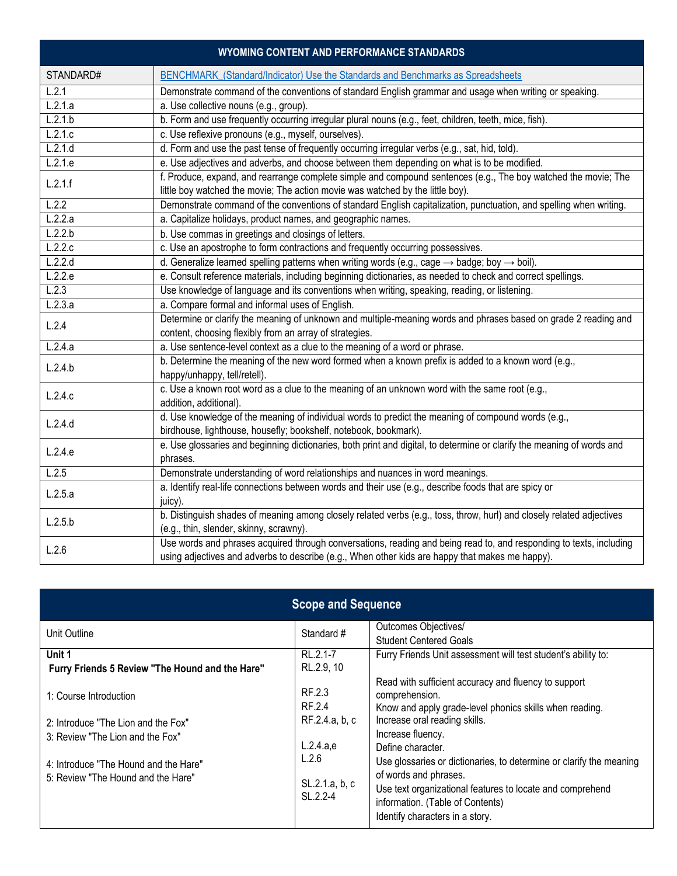|           | <b>WYOMING CONTENT AND PERFORMANCE STANDARDS</b>                                                                                                                                                                       |
|-----------|------------------------------------------------------------------------------------------------------------------------------------------------------------------------------------------------------------------------|
| STANDARD# | BENCHMARK_(Standard/Indicator) Use the Standards and Benchmarks as Spreadsheets                                                                                                                                        |
| L.2.1     | Demonstrate command of the conventions of standard English grammar and usage when writing or speaking.                                                                                                                 |
| L.2.1.a   | a. Use collective nouns (e.g., group).                                                                                                                                                                                 |
| L.2.1.b   | b. Form and use frequently occurring irregular plural nouns (e.g., feet, children, teeth, mice, fish).                                                                                                                 |
| L.2.1.c   | c. Use reflexive pronouns (e.g., myself, ourselves).                                                                                                                                                                   |
| L.2.1.d   | d. Form and use the past tense of frequently occurring irregular verbs (e.g., sat, hid, told).                                                                                                                         |
| L.2.1.e   | e. Use adjectives and adverbs, and choose between them depending on what is to be modified.                                                                                                                            |
| L.2.1.f   | f. Produce, expand, and rearrange complete simple and compound sentences (e.g., The boy watched the movie; The<br>little boy watched the movie; The action movie was watched by the little boy).                       |
| L.2.2     | Demonstrate command of the conventions of standard English capitalization, punctuation, and spelling when writing.                                                                                                     |
| L.2.2.a   | a. Capitalize holidays, product names, and geographic names.                                                                                                                                                           |
| L.2.2.b   | b. Use commas in greetings and closings of letters.                                                                                                                                                                    |
| L.2.2.c   | c. Use an apostrophe to form contractions and frequently occurring possessives.                                                                                                                                        |
| L.2.2.d   | d. Generalize learned spelling patterns when writing words (e.g., cage $\rightarrow$ badge; boy $\rightarrow$ boil).                                                                                                   |
| L.2.2.e   | e. Consult reference materials, including beginning dictionaries, as needed to check and correct spellings.                                                                                                            |
| L.2.3     | Use knowledge of language and its conventions when writing, speaking, reading, or listening.                                                                                                                           |
| L.2.3.a   | a. Compare formal and informal uses of English.                                                                                                                                                                        |
| L.2.4     | Determine or clarify the meaning of unknown and multiple-meaning words and phrases based on grade 2 reading and                                                                                                        |
|           | content, choosing flexibly from an array of strategies.                                                                                                                                                                |
| L.2.4.a   | a. Use sentence-level context as a clue to the meaning of a word or phrase.                                                                                                                                            |
| L.2.4.b   | b. Determine the meaning of the new word formed when a known prefix is added to a known word (e.g.,<br>happy/unhappy, tell/retell).                                                                                    |
| L.2.4.c   | c. Use a known root word as a clue to the meaning of an unknown word with the same root (e.g.,<br>addition, additional).                                                                                               |
| L.2.4.d   | d. Use knowledge of the meaning of individual words to predict the meaning of compound words (e.g.,<br>birdhouse, lighthouse, housefly; bookshelf, notebook, bookmark).                                                |
| L.2.4.e   | e. Use glossaries and beginning dictionaries, both print and digital, to determine or clarify the meaning of words and<br>phrases.                                                                                     |
| L.2.5     | Demonstrate understanding of word relationships and nuances in word meanings.                                                                                                                                          |
| L.2.5.a   | a. Identify real-life connections between words and their use (e.g., describe foods that are spicy or<br>juicy).                                                                                                       |
| L.2.5.b   | b. Distinguish shades of meaning among closely related verbs (e.g., toss, throw, hurl) and closely related adjectives<br>(e.g., thin, slender, skinny, scrawny).                                                       |
| L.2.6     | Use words and phrases acquired through conversations, reading and being read to, and responding to texts, including<br>using adjectives and adverbs to describe (e.g., When other kids are happy that makes me happy). |

| <b>Scope and Sequence</b>                                                                                                                                                        |                                                                                        |                                                                                                                                                                                                                                                                                                                                                                                                                                                  |
|----------------------------------------------------------------------------------------------------------------------------------------------------------------------------------|----------------------------------------------------------------------------------------|--------------------------------------------------------------------------------------------------------------------------------------------------------------------------------------------------------------------------------------------------------------------------------------------------------------------------------------------------------------------------------------------------------------------------------------------------|
| Unit Outline                                                                                                                                                                     | Standard #                                                                             | Outcomes Objectives/<br><b>Student Centered Goals</b>                                                                                                                                                                                                                                                                                                                                                                                            |
| Unit 1<br>Furry Friends 5 Review "The Hound and the Hare"                                                                                                                        | RL.2.1-7<br>RL.2.9, 10                                                                 | Furry Friends Unit assessment will test student's ability to:                                                                                                                                                                                                                                                                                                                                                                                    |
| 1: Course Introduction<br>2: Introduce "The Lion and the Fox"<br>3: Review "The Lion and the Fox"<br>4: Introduce "The Hound and the Hare"<br>5: Review "The Hound and the Hare" | RF.2.3<br>RF 2.4<br>RF.2.4.a, b, c<br>L.2.4.a.e<br>L.2.6<br>SL.2.1.a, b, c<br>SL.2.2-4 | Read with sufficient accuracy and fluency to support<br>comprehension.<br>Know and apply grade-level phonics skills when reading.<br>Increase oral reading skills.<br>Increase fluency.<br>Define character.<br>Use glossaries or dictionaries, to determine or clarify the meaning<br>of words and phrases.<br>Use text organizational features to locate and comprehend<br>information. (Table of Contents)<br>Identify characters in a story. |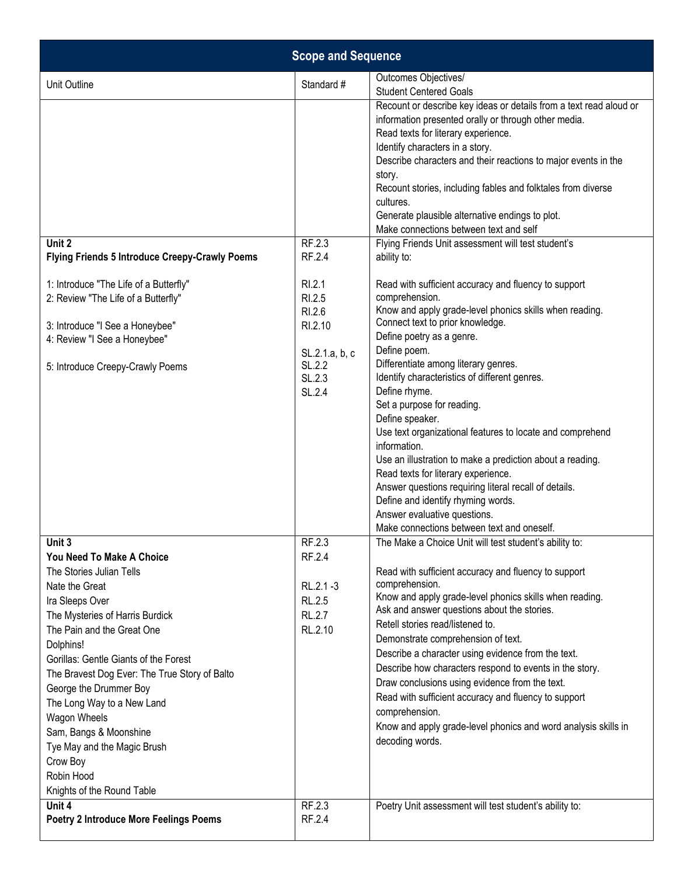| <b>Scope and Sequence</b>                                                                                                                                                                                                                                                                                                                                                                                                                                                    |                                                                                                           |                                                                                                                                                                                                                                                                                                                                                                                                                                                                                                                                                                                                                                                                                                                                                                                                                                                                                                                                                                                                                                                                                                                                                                                                                                                                                |
|------------------------------------------------------------------------------------------------------------------------------------------------------------------------------------------------------------------------------------------------------------------------------------------------------------------------------------------------------------------------------------------------------------------------------------------------------------------------------|-----------------------------------------------------------------------------------------------------------|--------------------------------------------------------------------------------------------------------------------------------------------------------------------------------------------------------------------------------------------------------------------------------------------------------------------------------------------------------------------------------------------------------------------------------------------------------------------------------------------------------------------------------------------------------------------------------------------------------------------------------------------------------------------------------------------------------------------------------------------------------------------------------------------------------------------------------------------------------------------------------------------------------------------------------------------------------------------------------------------------------------------------------------------------------------------------------------------------------------------------------------------------------------------------------------------------------------------------------------------------------------------------------|
| Unit Outline                                                                                                                                                                                                                                                                                                                                                                                                                                                                 | Standard #                                                                                                | Outcomes Objectives/<br><b>Student Centered Goals</b>                                                                                                                                                                                                                                                                                                                                                                                                                                                                                                                                                                                                                                                                                                                                                                                                                                                                                                                                                                                                                                                                                                                                                                                                                          |
| Unit 2<br><b>Flying Friends 5 Introduce Creepy-Crawly Poems</b><br>1: Introduce "The Life of a Butterfly"<br>2: Review "The Life of a Butterfly"<br>3: Introduce "I See a Honeybee"<br>4: Review "I See a Honeybee"<br>5: Introduce Creepy-Crawly Poems                                                                                                                                                                                                                      | RF.2.3<br>RF.2.4<br>RI.2.1<br>RI.2.5<br>RI.2.6<br>RI.2.10<br>SL.2.1.a, b, c<br>SL.2.2<br>SL.2.3<br>SL.2.4 | Recount or describe key ideas or details from a text read aloud or<br>information presented orally or through other media.<br>Read texts for literary experience.<br>Identify characters in a story.<br>Describe characters and their reactions to major events in the<br>story.<br>Recount stories, including fables and folktales from diverse<br>cultures.<br>Generate plausible alternative endings to plot.<br>Make connections between text and self<br>Flying Friends Unit assessment will test student's<br>ability to:<br>Read with sufficient accuracy and fluency to support<br>comprehension.<br>Know and apply grade-level phonics skills when reading.<br>Connect text to prior knowledge.<br>Define poetry as a genre.<br>Define poem.<br>Differentiate among literary genres.<br>Identify characteristics of different genres.<br>Define rhyme.<br>Set a purpose for reading.<br>Define speaker.<br>Use text organizational features to locate and comprehend<br>information.<br>Use an illustration to make a prediction about a reading.<br>Read texts for literary experience.<br>Answer questions requiring literal recall of details.<br>Define and identify rhyming words.<br>Answer evaluative questions.<br>Make connections between text and oneself. |
| Unit 3<br><b>You Need To Make A Choice</b><br>The Stories Julian Tells<br>Nate the Great<br>Ira Sleeps Over<br>The Mysteries of Harris Burdick<br>The Pain and the Great One<br>Dolphins!<br>Gorillas: Gentle Giants of the Forest<br>The Bravest Dog Ever: The True Story of Balto<br>George the Drummer Boy<br>The Long Way to a New Land<br>Wagon Wheels<br>Sam, Bangs & Moonshine<br>Tye May and the Magic Brush<br>Crow Boy<br>Robin Hood<br>Knights of the Round Table | RF.2.3<br>RF.2.4<br>RL.2.1-3<br>RL.2.5<br><b>RL.2.7</b><br>RL.2.10                                        | The Make a Choice Unit will test student's ability to:<br>Read with sufficient accuracy and fluency to support<br>comprehension.<br>Know and apply grade-level phonics skills when reading.<br>Ask and answer questions about the stories.<br>Retell stories read/listened to.<br>Demonstrate comprehension of text.<br>Describe a character using evidence from the text.<br>Describe how characters respond to events in the story.<br>Draw conclusions using evidence from the text.<br>Read with sufficient accuracy and fluency to support<br>comprehension.<br>Know and apply grade-level phonics and word analysis skills in<br>decoding words.                                                                                                                                                                                                                                                                                                                                                                                                                                                                                                                                                                                                                         |
| Unit 4<br><b>Poetry 2 Introduce More Feelings Poems</b>                                                                                                                                                                                                                                                                                                                                                                                                                      | RF.2.3<br>RF.2.4                                                                                          | Poetry Unit assessment will test student's ability to:                                                                                                                                                                                                                                                                                                                                                                                                                                                                                                                                                                                                                                                                                                                                                                                                                                                                                                                                                                                                                                                                                                                                                                                                                         |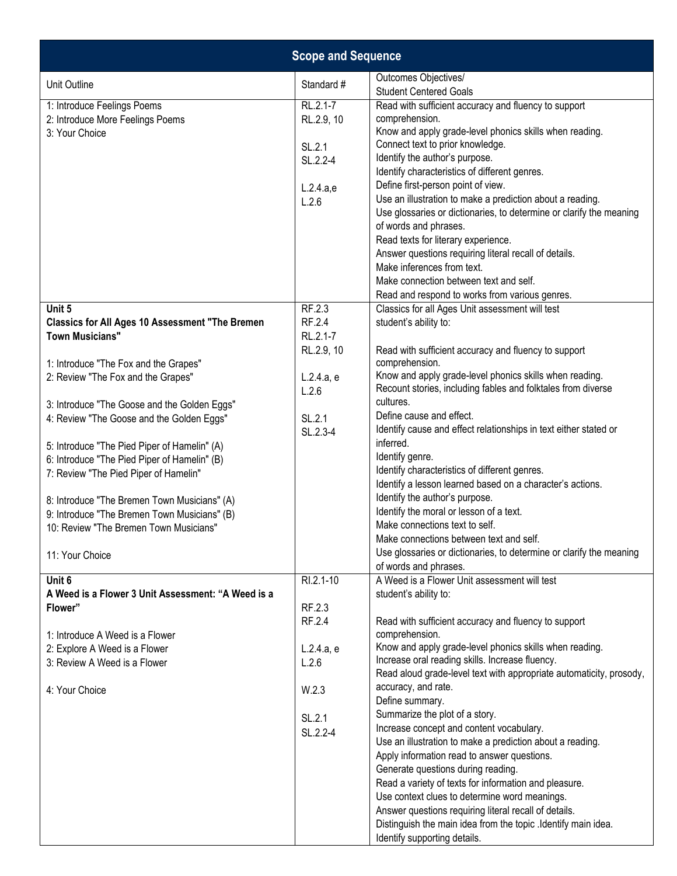|                                                                                                                                        | <b>Scope and Sequence</b>    |                                                                                                                                                                                                                                                                                                                                                                                                                                                                                                   |
|----------------------------------------------------------------------------------------------------------------------------------------|------------------------------|---------------------------------------------------------------------------------------------------------------------------------------------------------------------------------------------------------------------------------------------------------------------------------------------------------------------------------------------------------------------------------------------------------------------------------------------------------------------------------------------------|
| Unit Outline                                                                                                                           | Standard #                   | Outcomes Objectives/<br><b>Student Centered Goals</b>                                                                                                                                                                                                                                                                                                                                                                                                                                             |
| 1: Introduce Feelings Poems<br>2: Introduce More Feelings Poems<br>3: Your Choice                                                      | RL.2.1-7<br>RL.2.9, 10       | Read with sufficient accuracy and fluency to support<br>comprehension.<br>Know and apply grade-level phonics skills when reading.                                                                                                                                                                                                                                                                                                                                                                 |
|                                                                                                                                        | SL.2.1<br>SL.2.2-4           | Connect text to prior knowledge.<br>Identify the author's purpose.<br>Identify characteristics of different genres.                                                                                                                                                                                                                                                                                                                                                                               |
|                                                                                                                                        | L.2.4.a,e<br>L.2.6           | Define first-person point of view.<br>Use an illustration to make a prediction about a reading.<br>Use glossaries or dictionaries, to determine or clarify the meaning                                                                                                                                                                                                                                                                                                                            |
|                                                                                                                                        |                              | of words and phrases.<br>Read texts for literary experience.<br>Answer questions requiring literal recall of details.                                                                                                                                                                                                                                                                                                                                                                             |
|                                                                                                                                        |                              | Make inferences from text.<br>Make connection between text and self.<br>Read and respond to works from various genres.                                                                                                                                                                                                                                                                                                                                                                            |
| Unit 5<br><b>Classics for All Ages 10 Assessment "The Bremen</b><br><b>Town Musicians"</b>                                             | RF.2.3<br>RF.2.4<br>RL.2.1-7 | Classics for all Ages Unit assessment will test<br>student's ability to:                                                                                                                                                                                                                                                                                                                                                                                                                          |
| 1: Introduce "The Fox and the Grapes"<br>2: Review "The Fox and the Grapes"                                                            | RL.2.9, 10<br>L.2.4.a, e     | Read with sufficient accuracy and fluency to support<br>comprehension.<br>Know and apply grade-level phonics skills when reading.                                                                                                                                                                                                                                                                                                                                                                 |
| 3: Introduce "The Goose and the Golden Eggs"<br>4: Review "The Goose and the Golden Eggs"                                              | L.2.6<br>SL.2.1              | Recount stories, including fables and folktales from diverse<br>cultures.<br>Define cause and effect.                                                                                                                                                                                                                                                                                                                                                                                             |
| 5: Introduce "The Pied Piper of Hamelin" (A)<br>6: Introduce "The Pied Piper of Hamelin" (B)                                           | SL.2.3-4                     | Identify cause and effect relationships in text either stated or<br>inferred.<br>Identify genre.                                                                                                                                                                                                                                                                                                                                                                                                  |
| 7: Review "The Pied Piper of Hamelin"                                                                                                  |                              | Identify characteristics of different genres.<br>Identify a lesson learned based on a character's actions.<br>Identify the author's purpose.                                                                                                                                                                                                                                                                                                                                                      |
| 8: Introduce "The Bremen Town Musicians" (A)<br>9: Introduce "The Bremen Town Musicians" (B)<br>10: Review "The Bremen Town Musicians" |                              | Identify the moral or lesson of a text.<br>Make connections text to self.<br>Make connections between text and self.                                                                                                                                                                                                                                                                                                                                                                              |
| 11: Your Choice                                                                                                                        |                              | Use glossaries or dictionaries, to determine or clarify the meaning<br>of words and phrases.                                                                                                                                                                                                                                                                                                                                                                                                      |
| Unit 6<br>A Weed is a Flower 3 Unit Assessment: "A Weed is a<br>Flower"                                                                | RI.2.1-10<br>RF.2.3          | A Weed is a Flower Unit assessment will test<br>student's ability to:                                                                                                                                                                                                                                                                                                                                                                                                                             |
| 1: Introduce A Weed is a Flower                                                                                                        | RF.2.4                       | Read with sufficient accuracy and fluency to support<br>comprehension.                                                                                                                                                                                                                                                                                                                                                                                                                            |
| 2: Explore A Weed is a Flower<br>3: Review A Weed is a Flower                                                                          | L.2.4.a, e<br>L.2.6          | Know and apply grade-level phonics skills when reading.<br>Increase oral reading skills. Increase fluency.<br>Read aloud grade-level text with appropriate automaticity, prosody,                                                                                                                                                                                                                                                                                                                 |
| 4: Your Choice                                                                                                                         | W.2.3                        | accuracy, and rate.<br>Define summary.                                                                                                                                                                                                                                                                                                                                                                                                                                                            |
|                                                                                                                                        | SL.2.1<br>SL.2.2-4           | Summarize the plot of a story.<br>Increase concept and content vocabulary.<br>Use an illustration to make a prediction about a reading.<br>Apply information read to answer questions.<br>Generate questions during reading.<br>Read a variety of texts for information and pleasure.<br>Use context clues to determine word meanings.<br>Answer questions requiring literal recall of details.<br>Distinguish the main idea from the topic . Identify main idea.<br>Identify supporting details. |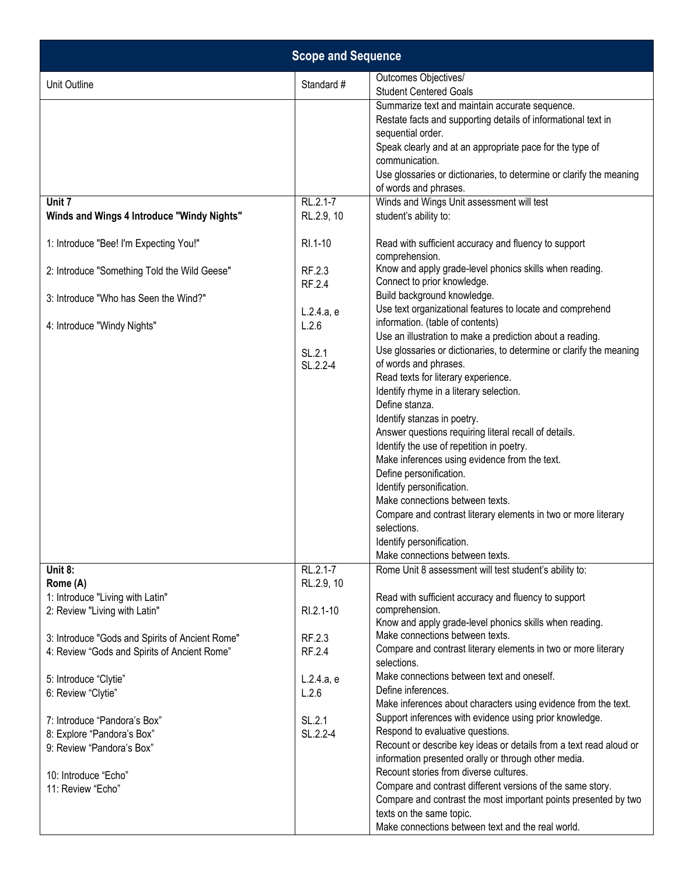| <b>Scope and Sequence</b>                                                                                            |                             |                                                                                                                                                                                                                                                                                                                                                                                                                                                                                                                                                                                                                                                                                                                                     |
|----------------------------------------------------------------------------------------------------------------------|-----------------------------|-------------------------------------------------------------------------------------------------------------------------------------------------------------------------------------------------------------------------------------------------------------------------------------------------------------------------------------------------------------------------------------------------------------------------------------------------------------------------------------------------------------------------------------------------------------------------------------------------------------------------------------------------------------------------------------------------------------------------------------|
| Unit Outline                                                                                                         | Standard #                  | Outcomes Objectives/<br><b>Student Centered Goals</b>                                                                                                                                                                                                                                                                                                                                                                                                                                                                                                                                                                                                                                                                               |
|                                                                                                                      |                             | Summarize text and maintain accurate sequence.<br>Restate facts and supporting details of informational text in<br>sequential order.<br>Speak clearly and at an appropriate pace for the type of<br>communication.<br>Use glossaries or dictionaries, to determine or clarify the meaning<br>of words and phrases.                                                                                                                                                                                                                                                                                                                                                                                                                  |
| Unit 7<br>Winds and Wings 4 Introduce "Windy Nights"                                                                 | RL.2.1-7<br>RL.2.9, 10      | Winds and Wings Unit assessment will test<br>student's ability to:                                                                                                                                                                                                                                                                                                                                                                                                                                                                                                                                                                                                                                                                  |
| 1: Introduce "Bee! I'm Expecting You!"                                                                               | RI.1-10                     | Read with sufficient accuracy and fluency to support<br>comprehension.                                                                                                                                                                                                                                                                                                                                                                                                                                                                                                                                                                                                                                                              |
| 2: Introduce "Something Told the Wild Geese"                                                                         | RF.2.3<br>RF.2.4            | Know and apply grade-level phonics skills when reading.<br>Connect to prior knowledge.                                                                                                                                                                                                                                                                                                                                                                                                                                                                                                                                                                                                                                              |
| 3: Introduce "Who has Seen the Wind?"                                                                                | L.2.4.a, e                  | Build background knowledge.<br>Use text organizational features to locate and comprehend                                                                                                                                                                                                                                                                                                                                                                                                                                                                                                                                                                                                                                            |
| 4: Introduce "Windy Nights"                                                                                          | L.2.6<br>SL.2.1<br>SL.2.2-4 | information. (table of contents)<br>Use an illustration to make a prediction about a reading.<br>Use glossaries or dictionaries, to determine or clarify the meaning<br>of words and phrases.<br>Read texts for literary experience.<br>Identify rhyme in a literary selection.<br>Define stanza.<br>Identify stanzas in poetry.<br>Answer questions requiring literal recall of details.<br>Identify the use of repetition in poetry.<br>Make inferences using evidence from the text.<br>Define personification.<br>Identify personification.<br>Make connections between texts.<br>Compare and contrast literary elements in two or more literary<br>selections.<br>Identify personification.<br>Make connections between texts. |
| Unit 8:<br>Rome (A)                                                                                                  | RL.2.1-7<br>RL.2.9, 10      | Rome Unit 8 assessment will test student's ability to:                                                                                                                                                                                                                                                                                                                                                                                                                                                                                                                                                                                                                                                                              |
| 1: Introduce "Living with Latin"<br>2: Review "Living with Latin"<br>3: Introduce "Gods and Spirits of Ancient Rome" | RI.2.1-10<br>RF.2.3         | Read with sufficient accuracy and fluency to support<br>comprehension.<br>Know and apply grade-level phonics skills when reading.<br>Make connections between texts.                                                                                                                                                                                                                                                                                                                                                                                                                                                                                                                                                                |
| 4: Review "Gods and Spirits of Ancient Rome"                                                                         | RF.2.4                      | Compare and contrast literary elements in two or more literary<br>selections.                                                                                                                                                                                                                                                                                                                                                                                                                                                                                                                                                                                                                                                       |
| 5: Introduce "Clytie"<br>6: Review "Clytie"                                                                          | L.2.4.a, e<br>L.2.6         | Make connections between text and oneself.<br>Define inferences.<br>Make inferences about characters using evidence from the text.                                                                                                                                                                                                                                                                                                                                                                                                                                                                                                                                                                                                  |
| 7: Introduce "Pandora's Box"<br>8: Explore "Pandora's Box"<br>9: Review "Pandora's Box"                              | SL.2.1<br>SL.2.2-4          | Support inferences with evidence using prior knowledge.<br>Respond to evaluative questions.<br>Recount or describe key ideas or details from a text read aloud or<br>information presented orally or through other media.                                                                                                                                                                                                                                                                                                                                                                                                                                                                                                           |
| 10: Introduce "Echo"<br>11: Review "Echo"                                                                            |                             | Recount stories from diverse cultures.<br>Compare and contrast different versions of the same story.<br>Compare and contrast the most important points presented by two<br>texts on the same topic.<br>Make connections between text and the real world.                                                                                                                                                                                                                                                                                                                                                                                                                                                                            |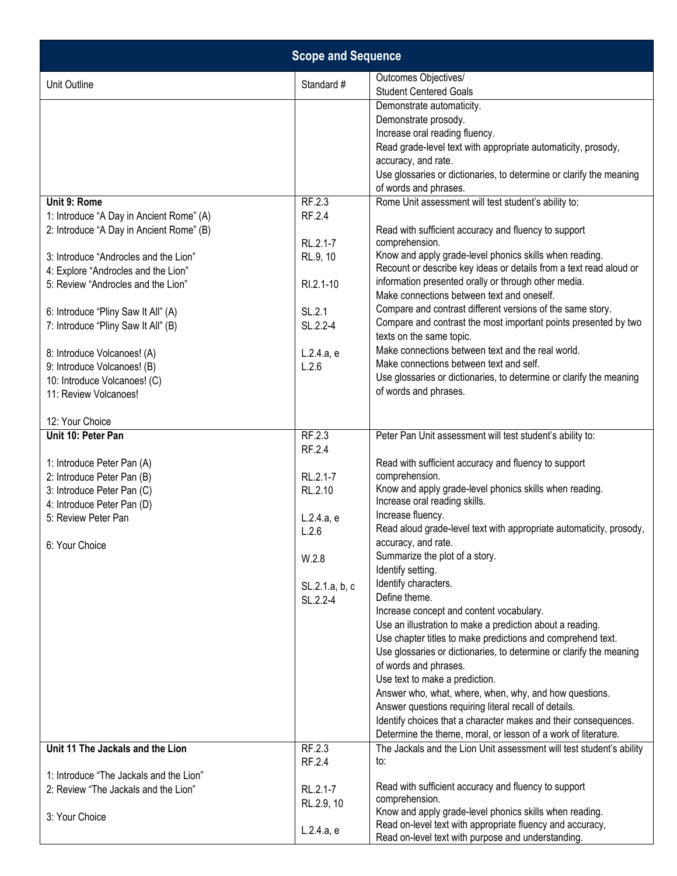| <b>Scope and Sequence</b>                                                 |                  |                                                                                                                               |
|---------------------------------------------------------------------------|------------------|-------------------------------------------------------------------------------------------------------------------------------|
| Unit Outline                                                              | Standard #       | Outcomes Objectives/<br><b>Student Centered Goals</b>                                                                         |
|                                                                           |                  | Demonstrate automaticity.                                                                                                     |
|                                                                           |                  | Demonstrate prosody.                                                                                                          |
|                                                                           |                  | Increase oral reading fluency.                                                                                                |
|                                                                           |                  | Read grade-level text with appropriate automaticity, prosody,                                                                 |
|                                                                           |                  | accuracy, and rate.<br>Use glossaries or dictionaries, to determine or clarify the meaning                                    |
|                                                                           |                  | of words and phrases.                                                                                                         |
| Unit 9: Rome                                                              | RF.2.3           | Rome Unit assessment will test student's ability to:                                                                          |
| 1: Introduce "A Day in Ancient Rome" (A)                                  | RF.2.4           |                                                                                                                               |
| 2: Introduce "A Day in Ancient Rome" (B)                                  |                  | Read with sufficient accuracy and fluency to support                                                                          |
|                                                                           | RL.2.1-7         | comprehension.                                                                                                                |
| 3: Introduce "Androcles and the Lion"                                     | RL.9, 10         | Know and apply grade-level phonics skills when reading.<br>Recount or describe key ideas or details from a text read aloud or |
| 4: Explore "Androcles and the Lion"<br>5: Review "Androcles and the Lion" | RI.2.1-10        | information presented orally or through other media.                                                                          |
|                                                                           |                  | Make connections between text and oneself.                                                                                    |
| 6: Introduce "Pliny Saw It All" (A)                                       | SL.2.1           | Compare and contrast different versions of the same story.                                                                    |
| 7: Introduce "Pliny Saw It All" (B)                                       | SL.2.2-4         | Compare and contrast the most important points presented by two                                                               |
|                                                                           |                  | texts on the same topic.                                                                                                      |
| 8: Introduce Volcanoes! (A)                                               | L.2.4.a, e       | Make connections between text and the real world.                                                                             |
| 9: Introduce Volcanoes! (B)                                               | L.2.6            | Make connections between text and self.                                                                                       |
| 10: Introduce Volcanoes! (C)                                              |                  | Use glossaries or dictionaries, to determine or clarify the meaning<br>of words and phrases.                                  |
| 11: Review Volcanoes!                                                     |                  |                                                                                                                               |
| 12: Your Choice                                                           |                  |                                                                                                                               |
| Unit 10: Peter Pan                                                        | RF.2.3           | Peter Pan Unit assessment will test student's ability to:                                                                     |
|                                                                           | RF.2.4           |                                                                                                                               |
| 1: Introduce Peter Pan (A)<br>2: Introduce Peter Pan (B)                  | RL.2.1-7         | Read with sufficient accuracy and fluency to support<br>comprehension.                                                        |
| 3: Introduce Peter Pan (C)                                                | RL.2.10          | Know and apply grade-level phonics skills when reading.                                                                       |
| 4: Introduce Peter Pan (D)                                                |                  | Increase oral reading skills.                                                                                                 |
| 5: Review Peter Pan                                                       | L.2.4.a, e       | Increase fluency.                                                                                                             |
|                                                                           | L.2.6            | Read aloud grade-level text with appropriate automaticity, prosody,                                                           |
| 6: Your Choice                                                            |                  | accuracy, and rate.<br>Summarize the plot of a story.                                                                         |
|                                                                           | W.2.8            | Identify setting.                                                                                                             |
|                                                                           | SL.2.1.a, b, c   | Identify characters.                                                                                                          |
|                                                                           | SL.2.2-4         | Define theme.                                                                                                                 |
|                                                                           |                  | Increase concept and content vocabulary.                                                                                      |
|                                                                           |                  | Use an illustration to make a prediction about a reading.                                                                     |
|                                                                           |                  | Use chapter titles to make predictions and comprehend text.                                                                   |
|                                                                           |                  | Use glossaries or dictionaries, to determine or clarify the meaning<br>of words and phrases.                                  |
|                                                                           |                  | Use text to make a prediction.                                                                                                |
|                                                                           |                  | Answer who, what, where, when, why, and how questions.                                                                        |
|                                                                           |                  | Answer questions requiring literal recall of details.                                                                         |
|                                                                           |                  | Identify choices that a character makes and their consequences.                                                               |
|                                                                           |                  | Determine the theme, moral, or lesson of a work of literature.                                                                |
| Unit 11 The Jackals and the Lion                                          | RF.2.3<br>RF.2.4 | The Jackals and the Lion Unit assessment will test student's ability<br>to:                                                   |
| 1: Introduce "The Jackals and the Lion"                                   |                  |                                                                                                                               |
| 2: Review "The Jackals and the Lion"                                      | RL.2.1-7         | Read with sufficient accuracy and fluency to support                                                                          |
|                                                                           | RL.2.9, 10       | comprehension.                                                                                                                |
| 3: Your Choice                                                            |                  | Know and apply grade-level phonics skills when reading.<br>Read on-level text with appropriate fluency and accuracy,          |
|                                                                           | L.2.4.a, e       | Read on-level text with purpose and understanding.                                                                            |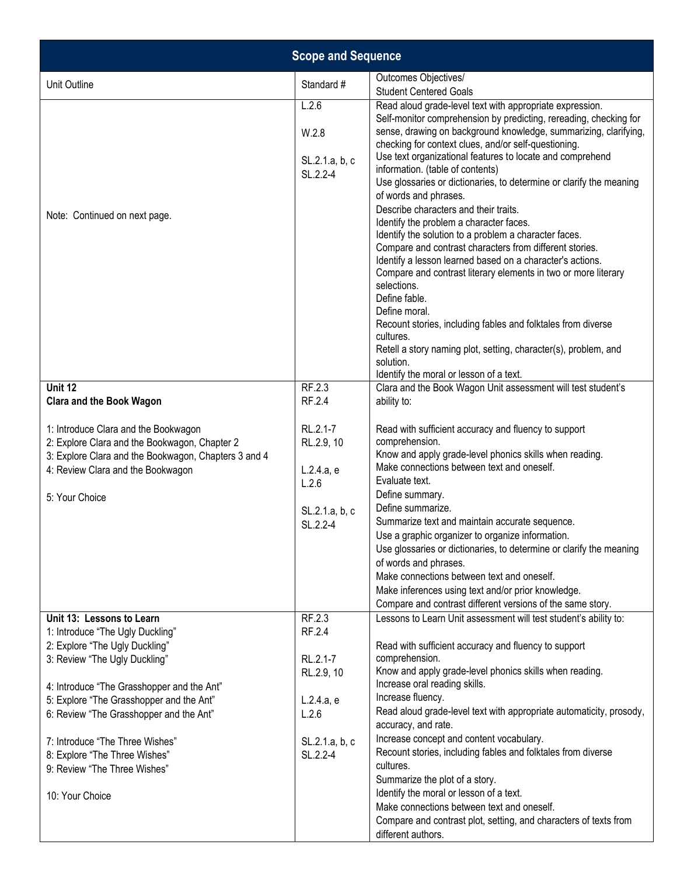| <b>Scope and Sequence</b>                                                                                                                                                                                                                                                                                                                                                                    |                                                                                                 |                                                                                                                                                                                                                                                                                                                                                                                                                                                                                                                                                                                                                                                                                                                                                                                                                                                                                                                                                                                                                                                            |
|----------------------------------------------------------------------------------------------------------------------------------------------------------------------------------------------------------------------------------------------------------------------------------------------------------------------------------------------------------------------------------------------|-------------------------------------------------------------------------------------------------|------------------------------------------------------------------------------------------------------------------------------------------------------------------------------------------------------------------------------------------------------------------------------------------------------------------------------------------------------------------------------------------------------------------------------------------------------------------------------------------------------------------------------------------------------------------------------------------------------------------------------------------------------------------------------------------------------------------------------------------------------------------------------------------------------------------------------------------------------------------------------------------------------------------------------------------------------------------------------------------------------------------------------------------------------------|
| Unit Outline                                                                                                                                                                                                                                                                                                                                                                                 | Standard #                                                                                      | Outcomes Objectives/<br><b>Student Centered Goals</b>                                                                                                                                                                                                                                                                                                                                                                                                                                                                                                                                                                                                                                                                                                                                                                                                                                                                                                                                                                                                      |
| Note: Continued on next page.                                                                                                                                                                                                                                                                                                                                                                | L.2.6<br>W.2.8<br>SL.2.1.a, b, c<br>SL.2.2-4                                                    | Read aloud grade-level text with appropriate expression.<br>Self-monitor comprehension by predicting, rereading, checking for<br>sense, drawing on background knowledge, summarizing, clarifying,<br>checking for context clues, and/or self-questioning.<br>Use text organizational features to locate and comprehend<br>information. (table of contents)<br>Use glossaries or dictionaries, to determine or clarify the meaning<br>of words and phrases.<br>Describe characters and their traits.<br>Identify the problem a character faces.<br>Identify the solution to a problem a character faces.<br>Compare and contrast characters from different stories.<br>Identify a lesson learned based on a character's actions.<br>Compare and contrast literary elements in two or more literary<br>selections.<br>Define fable.<br>Define moral.<br>Recount stories, including fables and folktales from diverse<br>cultures.<br>Retell a story naming plot, setting, character(s), problem, and<br>solution.<br>Identify the moral or lesson of a text. |
| Unit 12<br><b>Clara and the Book Wagon</b>                                                                                                                                                                                                                                                                                                                                                   | RF.2.3<br>RF.2.4                                                                                | Clara and the Book Wagon Unit assessment will test student's<br>ability to:                                                                                                                                                                                                                                                                                                                                                                                                                                                                                                                                                                                                                                                                                                                                                                                                                                                                                                                                                                                |
| 1: Introduce Clara and the Bookwagon<br>2: Explore Clara and the Bookwagon, Chapter 2<br>3: Explore Clara and the Bookwagon, Chapters 3 and 4<br>4: Review Clara and the Bookwagon<br>5: Your Choice                                                                                                                                                                                         | RL.2.1-7<br>RL.2.9, 10<br>L.2.4.a, e<br>L.2.6<br>SL.2.1.a, b, c<br>SL.2.2-4                     | Read with sufficient accuracy and fluency to support<br>comprehension.<br>Know and apply grade-level phonics skills when reading.<br>Make connections between text and oneself.<br>Evaluate text.<br>Define summary.<br>Define summarize.<br>Summarize text and maintain accurate sequence.<br>Use a graphic organizer to organize information.<br>Use glossaries or dictionaries, to determine or clarify the meaning<br>of words and phrases.<br>Make connections between text and oneself.<br>Make inferences using text and/or prior knowledge.<br>Compare and contrast different versions of the same story.                                                                                                                                                                                                                                                                                                                                                                                                                                          |
| Unit 13: Lessons to Learn<br>1: Introduce "The Ugly Duckling"<br>2: Explore "The Ugly Duckling"<br>3: Review "The Ugly Duckling"<br>4: Introduce "The Grasshopper and the Ant"<br>5: Explore "The Grasshopper and the Ant"<br>6: Review "The Grasshopper and the Ant"<br>7: Introduce "The Three Wishes"<br>8: Explore "The Three Wishes"<br>9: Review "The Three Wishes"<br>10: Your Choice | RF.2.3<br>RF.2.4<br>RL.2.1-7<br>RL.2.9, 10<br>L.2.4.a, e<br>L.2.6<br>SL.2.1.a, b, c<br>SL.2.2-4 | Lessons to Learn Unit assessment will test student's ability to:<br>Read with sufficient accuracy and fluency to support<br>comprehension.<br>Know and apply grade-level phonics skills when reading.<br>Increase oral reading skills.<br>Increase fluency.<br>Read aloud grade-level text with appropriate automaticity, prosody,<br>accuracy, and rate.<br>Increase concept and content vocabulary.<br>Recount stories, including fables and folktales from diverse<br>cultures.<br>Summarize the plot of a story.<br>Identify the moral or lesson of a text.<br>Make connections between text and oneself.<br>Compare and contrast plot, setting, and characters of texts from<br>different authors.                                                                                                                                                                                                                                                                                                                                                    |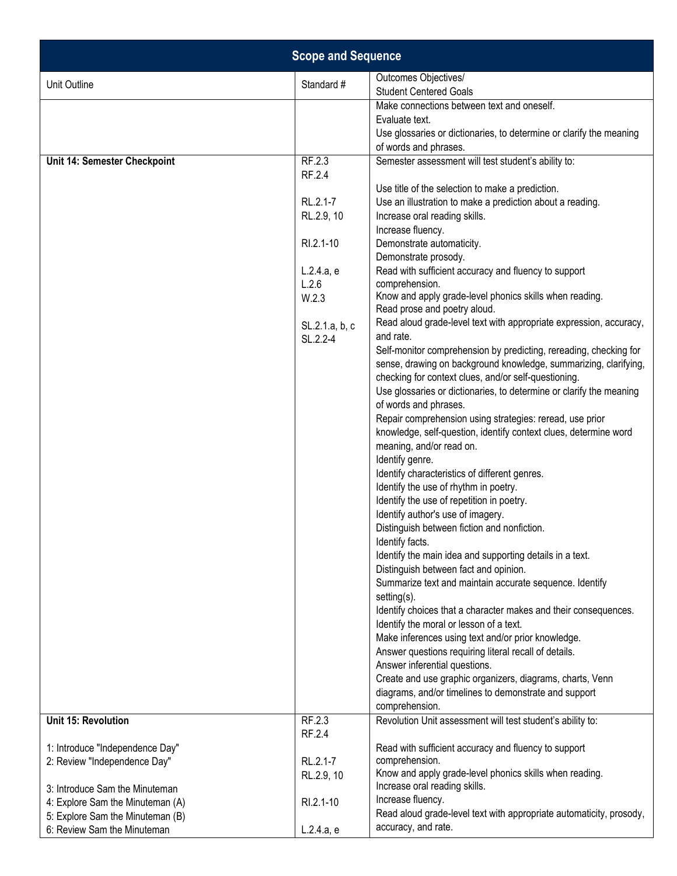|                                                                 | <b>Scope and Sequence</b>  |                                                                                                                             |
|-----------------------------------------------------------------|----------------------------|-----------------------------------------------------------------------------------------------------------------------------|
| Unit Outline                                                    | Standard #                 | Outcomes Objectives/<br><b>Student Centered Goals</b>                                                                       |
|                                                                 |                            | Make connections between text and oneself.                                                                                  |
|                                                                 |                            | Evaluate text.                                                                                                              |
|                                                                 |                            | Use glossaries or dictionaries, to determine or clarify the meaning                                                         |
| Unit 14: Semester Checkpoint                                    | RF.2.3                     | of words and phrases.<br>Semester assessment will test student's ability to:                                                |
|                                                                 | RF.2.4                     |                                                                                                                             |
|                                                                 |                            | Use title of the selection to make a prediction.                                                                            |
|                                                                 | RL.2.1-7                   | Use an illustration to make a prediction about a reading.                                                                   |
|                                                                 | RL.2.9, 10                 | Increase oral reading skills.                                                                                               |
|                                                                 | RI.2.1-10                  | Increase fluency.                                                                                                           |
|                                                                 |                            | Demonstrate automaticity.<br>Demonstrate prosody.                                                                           |
|                                                                 | L.2.4.a, e                 | Read with sufficient accuracy and fluency to support                                                                        |
|                                                                 | L.2.6                      | comprehension.                                                                                                              |
|                                                                 | W.2.3                      | Know and apply grade-level phonics skills when reading.<br>Read prose and poetry aloud.                                     |
|                                                                 | SL.2.1.a, b, c<br>SL.2.2-4 | Read aloud grade-level text with appropriate expression, accuracy,<br>and rate.                                             |
|                                                                 |                            | Self-monitor comprehension by predicting, rereading, checking for                                                           |
|                                                                 |                            | sense, drawing on background knowledge, summarizing, clarifying,                                                            |
|                                                                 |                            | checking for context clues, and/or self-questioning.<br>Use glossaries or dictionaries, to determine or clarify the meaning |
|                                                                 |                            | of words and phrases.                                                                                                       |
|                                                                 |                            | Repair comprehension using strategies: reread, use prior                                                                    |
|                                                                 |                            | knowledge, self-question, identify context clues, determine word                                                            |
|                                                                 |                            | meaning, and/or read on.                                                                                                    |
|                                                                 |                            | Identify genre.                                                                                                             |
|                                                                 |                            | Identify characteristics of different genres.                                                                               |
|                                                                 |                            | Identify the use of rhythm in poetry.<br>Identify the use of repetition in poetry.                                          |
|                                                                 |                            | Identify author's use of imagery.                                                                                           |
|                                                                 |                            | Distinguish between fiction and nonfiction.                                                                                 |
|                                                                 |                            | Identify facts.                                                                                                             |
|                                                                 |                            | Identify the main idea and supporting details in a text.                                                                    |
|                                                                 |                            | Distinguish between fact and opinion.                                                                                       |
|                                                                 |                            | Summarize text and maintain accurate sequence. Identify<br>setting(s).                                                      |
|                                                                 |                            | Identify choices that a character makes and their consequences.                                                             |
|                                                                 |                            | Identify the moral or lesson of a text.                                                                                     |
|                                                                 |                            | Make inferences using text and/or prior knowledge.                                                                          |
|                                                                 |                            | Answer questions requiring literal recall of details.                                                                       |
|                                                                 |                            | Answer inferential questions.                                                                                               |
|                                                                 |                            | Create and use graphic organizers, diagrams, charts, Venn<br>diagrams, and/or timelines to demonstrate and support          |
|                                                                 |                            | comprehension.                                                                                                              |
| Unit 15: Revolution                                             | RF.2.3<br>RF.2.4           | Revolution Unit assessment will test student's ability to:                                                                  |
| 1: Introduce "Independence Day"                                 |                            | Read with sufficient accuracy and fluency to support                                                                        |
| 2: Review "Independence Day"                                    | RL.2.1-7                   | comprehension.                                                                                                              |
|                                                                 | RL.2.9, 10                 | Know and apply grade-level phonics skills when reading.                                                                     |
| 3: Introduce Sam the Minuteman                                  |                            | Increase oral reading skills.                                                                                               |
| 4: Explore Sam the Minuteman (A)                                | RI.2.1-10                  | Increase fluency.<br>Read aloud grade-level text with appropriate automaticity, prosody,                                    |
| 5: Explore Sam the Minuteman (B)<br>6: Review Sam the Minuteman | L.2.4.a, e                 | accuracy, and rate.                                                                                                         |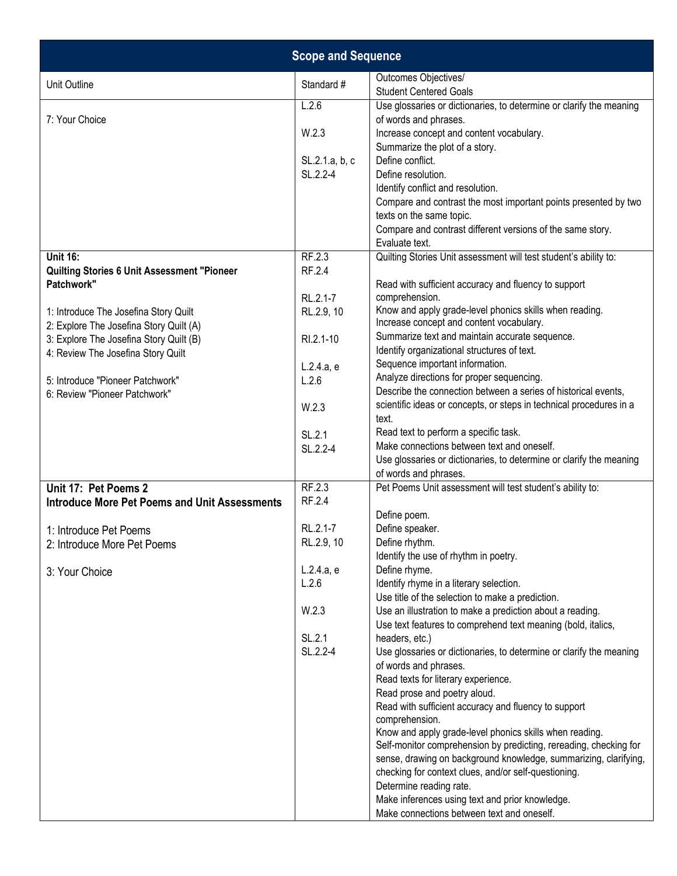|                                                                                                                                                                                                                                                                                                                               | <b>Scope and Sequence</b>                                                                                     |                                                                                                                                                                                                                                                                                                                                                                                                                                                                                                                                                                                                                                                                                                                                                                                                                                                                                                                                                                                                    |
|-------------------------------------------------------------------------------------------------------------------------------------------------------------------------------------------------------------------------------------------------------------------------------------------------------------------------------|---------------------------------------------------------------------------------------------------------------|----------------------------------------------------------------------------------------------------------------------------------------------------------------------------------------------------------------------------------------------------------------------------------------------------------------------------------------------------------------------------------------------------------------------------------------------------------------------------------------------------------------------------------------------------------------------------------------------------------------------------------------------------------------------------------------------------------------------------------------------------------------------------------------------------------------------------------------------------------------------------------------------------------------------------------------------------------------------------------------------------|
| Unit Outline                                                                                                                                                                                                                                                                                                                  | Standard #                                                                                                    | Outcomes Objectives/<br><b>Student Centered Goals</b>                                                                                                                                                                                                                                                                                                                                                                                                                                                                                                                                                                                                                                                                                                                                                                                                                                                                                                                                              |
| 7: Your Choice                                                                                                                                                                                                                                                                                                                | L.2.6<br>W.2.3<br>SL.2.1.a, b, c<br>SL.2.2-4                                                                  | Use glossaries or dictionaries, to determine or clarify the meaning<br>of words and phrases.<br>Increase concept and content vocabulary.<br>Summarize the plot of a story.<br>Define conflict.<br>Define resolution.<br>Identify conflict and resolution.<br>Compare and contrast the most important points presented by two<br>texts on the same topic.<br>Compare and contrast different versions of the same story.                                                                                                                                                                                                                                                                                                                                                                                                                                                                                                                                                                             |
| <b>Unit 16:</b><br><b>Quilting Stories 6 Unit Assessment "Pioneer</b><br>Patchwork"<br>1: Introduce The Josefina Story Quilt<br>2: Explore The Josefina Story Quilt (A)<br>3: Explore The Josefina Story Quilt (B)<br>4: Review The Josefina Story Quilt<br>5: Introduce "Pioneer Patchwork"<br>6: Review "Pioneer Patchwork" | RF.2.3<br>RF.2.4<br>RL.2.1-7<br>RL.2.9, 10<br>RI.2.1-10<br>L.2.4.a, e<br>L.2.6<br>W.2.3<br>SL.2.1<br>SL.2.2-4 | Evaluate text.<br>Quilting Stories Unit assessment will test student's ability to:<br>Read with sufficient accuracy and fluency to support<br>comprehension.<br>Know and apply grade-level phonics skills when reading.<br>Increase concept and content vocabulary.<br>Summarize text and maintain accurate sequence.<br>Identify organizational structures of text.<br>Sequence important information.<br>Analyze directions for proper sequencing.<br>Describe the connection between a series of historical events,<br>scientific ideas or concepts, or steps in technical procedures in a<br>text.<br>Read text to perform a specific task.<br>Make connections between text and oneself.<br>Use glossaries or dictionaries, to determine or clarify the meaning                                                                                                                                                                                                                               |
| Unit 17: Pet Poems 2                                                                                                                                                                                                                                                                                                          | RF.2.3                                                                                                        | of words and phrases.<br>Pet Poems Unit assessment will test student's ability to:                                                                                                                                                                                                                                                                                                                                                                                                                                                                                                                                                                                                                                                                                                                                                                                                                                                                                                                 |
| <b>Introduce More Pet Poems and Unit Assessments</b><br>1: Introduce Pet Poems<br>2: Introduce More Pet Poems<br>3: Your Choice                                                                                                                                                                                               | RF.2.4<br>RL.2.1-7<br>RL.2.9, 10<br>L.2.4.a, e<br>L.2.6<br>W.2.3<br>SL.2.1<br>SL.2.2-4                        | Define poem.<br>Define speaker.<br>Define rhythm.<br>Identify the use of rhythm in poetry.<br>Define rhyme.<br>Identify rhyme in a literary selection.<br>Use title of the selection to make a prediction.<br>Use an illustration to make a prediction about a reading.<br>Use text features to comprehend text meaning (bold, italics,<br>headers, etc.)<br>Use glossaries or dictionaries, to determine or clarify the meaning<br>of words and phrases.<br>Read texts for literary experience.<br>Read prose and poetry aloud.<br>Read with sufficient accuracy and fluency to support<br>comprehension.<br>Know and apply grade-level phonics skills when reading.<br>Self-monitor comprehension by predicting, rereading, checking for<br>sense, drawing on background knowledge, summarizing, clarifying,<br>checking for context clues, and/or self-questioning.<br>Determine reading rate.<br>Make inferences using text and prior knowledge.<br>Make connections between text and oneself. |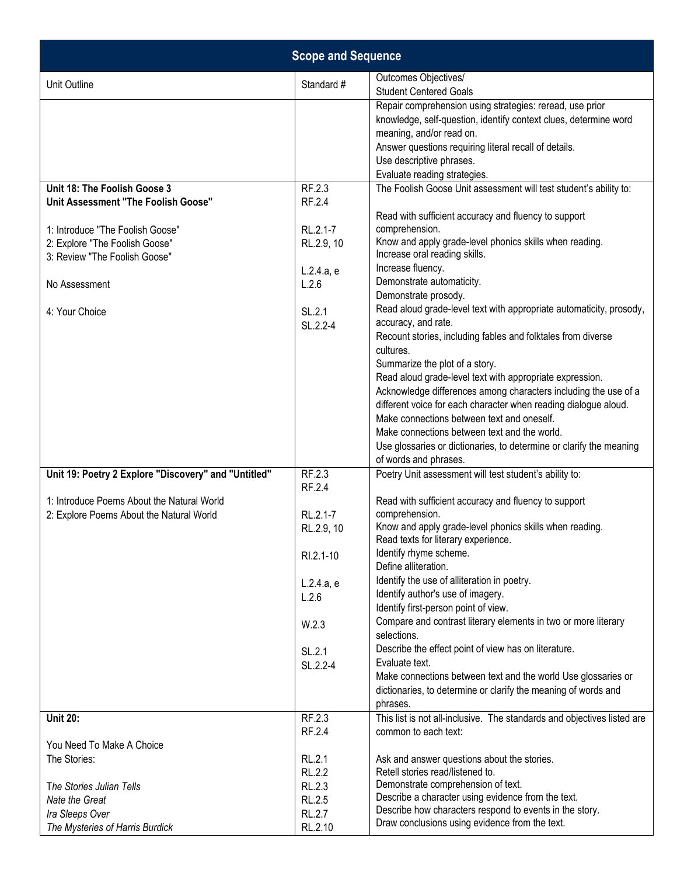| <b>Scope and Sequence</b>                                               |                         |                                                                                                                                                                                                                                                                                |
|-------------------------------------------------------------------------|-------------------------|--------------------------------------------------------------------------------------------------------------------------------------------------------------------------------------------------------------------------------------------------------------------------------|
| Unit Outline                                                            | Standard #              | Outcomes Objectives/<br><b>Student Centered Goals</b>                                                                                                                                                                                                                          |
|                                                                         |                         | Repair comprehension using strategies: reread, use prior<br>knowledge, self-question, identify context clues, determine word<br>meaning, and/or read on.<br>Answer questions requiring literal recall of details.<br>Use descriptive phrases.                                  |
|                                                                         |                         | Evaluate reading strategies.                                                                                                                                                                                                                                                   |
| Unit 18: The Foolish Goose 3                                            | RF.2.3                  | The Foolish Goose Unit assessment will test student's ability to:                                                                                                                                                                                                              |
| Unit Assessment "The Foolish Goose"<br>1: Introduce "The Foolish Goose" | RF.2.4<br>RL.2.1-7      | Read with sufficient accuracy and fluency to support<br>comprehension.                                                                                                                                                                                                         |
| 2: Explore "The Foolish Goose"                                          | RL.2.9, 10              | Know and apply grade-level phonics skills when reading.                                                                                                                                                                                                                        |
| 3: Review "The Foolish Goose"                                           | L.2.4.a, e              | Increase oral reading skills.<br>Increase fluency.                                                                                                                                                                                                                             |
| No Assessment                                                           | L.2.6                   | Demonstrate automaticity.<br>Demonstrate prosody.                                                                                                                                                                                                                              |
| 4: Your Choice                                                          | SL.2.1<br>SL.2.2-4      | Read aloud grade-level text with appropriate automaticity, prosody,<br>accuracy, and rate.<br>Recount stories, including fables and folktales from diverse<br>cultures.                                                                                                        |
|                                                                         |                         | Summarize the plot of a story.<br>Read aloud grade-level text with appropriate expression.<br>Acknowledge differences among characters including the use of a<br>different voice for each character when reading dialogue aloud.<br>Make connections between text and oneself. |
|                                                                         |                         | Make connections between text and the world.<br>Use glossaries or dictionaries, to determine or clarify the meaning<br>of words and phrases.                                                                                                                                   |
| Unit 19: Poetry 2 Explore "Discovery" and "Untitled"                    | RF.2.3<br>RF.2.4        | Poetry Unit assessment will test student's ability to:                                                                                                                                                                                                                         |
| 1: Introduce Poems About the Natural World                              |                         | Read with sufficient accuracy and fluency to support                                                                                                                                                                                                                           |
| 2: Explore Poems About the Natural World                                | RL.2.1-7<br>RL.2.9, 10  | comprehension.<br>Know and apply grade-level phonics skills when reading.<br>Read texts for literary experience.                                                                                                                                                               |
|                                                                         | RI.2.1-10               | Identify rhyme scheme.                                                                                                                                                                                                                                                         |
|                                                                         |                         | Define alliteration.                                                                                                                                                                                                                                                           |
|                                                                         | L.2.4.a, e              | Identify the use of alliteration in poetry.                                                                                                                                                                                                                                    |
|                                                                         | L.2.6                   | Identify author's use of imagery.                                                                                                                                                                                                                                              |
|                                                                         | W.2.3                   | Identify first-person point of view.<br>Compare and contrast literary elements in two or more literary<br>selections.                                                                                                                                                          |
|                                                                         | SL.2.1                  | Describe the effect point of view has on literature.                                                                                                                                                                                                                           |
|                                                                         | SL.2.2-4                | Evaluate text.                                                                                                                                                                                                                                                                 |
|                                                                         |                         | Make connections between text and the world Use glossaries or<br>dictionaries, to determine or clarify the meaning of words and<br>phrases.                                                                                                                                    |
| <b>Unit 20:</b>                                                         | RF.2.3                  | This list is not all-inclusive. The standards and objectives listed are                                                                                                                                                                                                        |
|                                                                         | RF.2.4                  | common to each text:                                                                                                                                                                                                                                                           |
| You Need To Make A Choice                                               |                         |                                                                                                                                                                                                                                                                                |
| The Stories:                                                            | RL.2.1                  | Ask and answer questions about the stories.                                                                                                                                                                                                                                    |
|                                                                         | RL.2.2                  | Retell stories read/listened to.                                                                                                                                                                                                                                               |
| The Stories Julian Tells                                                | RL.2.3                  | Demonstrate comprehension of text.<br>Describe a character using evidence from the text.                                                                                                                                                                                       |
| Nate the Great<br>Ira Sleeps Over                                       | RL.2.5<br><b>RL.2.7</b> | Describe how characters respond to events in the story.                                                                                                                                                                                                                        |
| The Mysteries of Harris Burdick                                         | RL.2.10                 | Draw conclusions using evidence from the text.                                                                                                                                                                                                                                 |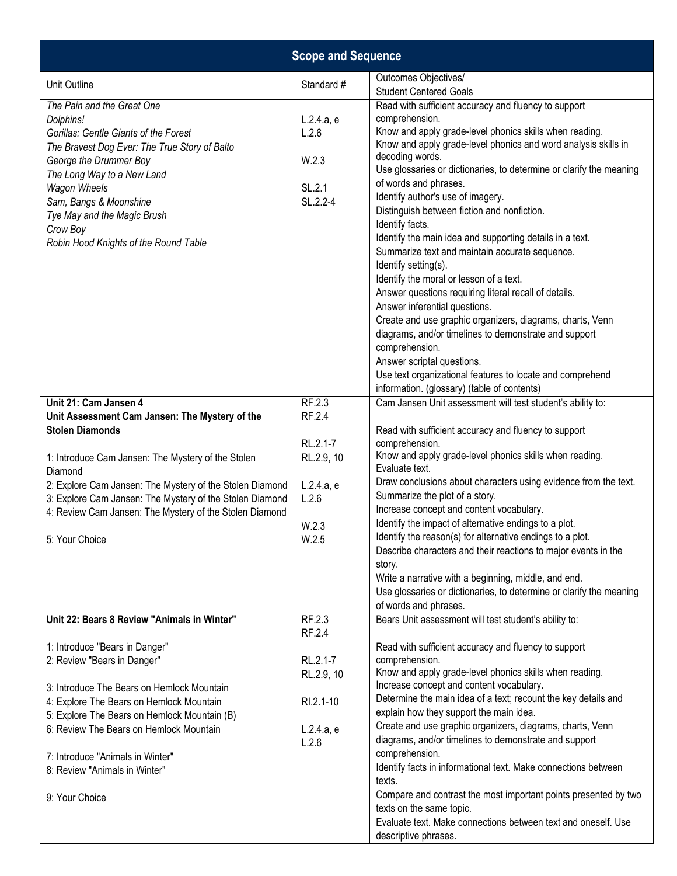| <b>Scope and Sequence</b>                                                                                                                                                                                                                                                                                               |                                                            |                                                                                                                                                                                                                                                                                                                                                                                                                                                                                                                                                                                                                                                                                                                                                                                                                                                                                                                                             |  |
|-------------------------------------------------------------------------------------------------------------------------------------------------------------------------------------------------------------------------------------------------------------------------------------------------------------------------|------------------------------------------------------------|---------------------------------------------------------------------------------------------------------------------------------------------------------------------------------------------------------------------------------------------------------------------------------------------------------------------------------------------------------------------------------------------------------------------------------------------------------------------------------------------------------------------------------------------------------------------------------------------------------------------------------------------------------------------------------------------------------------------------------------------------------------------------------------------------------------------------------------------------------------------------------------------------------------------------------------------|--|
| Unit Outline                                                                                                                                                                                                                                                                                                            | Standard #                                                 | Outcomes Objectives/<br><b>Student Centered Goals</b>                                                                                                                                                                                                                                                                                                                                                                                                                                                                                                                                                                                                                                                                                                                                                                                                                                                                                       |  |
| The Pain and the Great One<br>Dolphins!<br>Gorillas: Gentle Giants of the Forest<br>The Bravest Dog Ever: The True Story of Balto<br>George the Drummer Boy<br>The Long Way to a New Land<br>Wagon Wheels<br>Sam, Bangs & Moonshine<br>Tye May and the Magic Brush<br>Crow Boy<br>Robin Hood Knights of the Round Table | L.2.4.a, e<br>L.2.6<br>W.2.3<br>SL.2.1<br>SL.2.2-4         | Read with sufficient accuracy and fluency to support<br>comprehension.<br>Know and apply grade-level phonics skills when reading.<br>Know and apply grade-level phonics and word analysis skills in<br>decoding words.<br>Use glossaries or dictionaries, to determine or clarify the meaning<br>of words and phrases.<br>Identify author's use of imagery.<br>Distinguish between fiction and nonfiction.<br>Identify facts.<br>Identify the main idea and supporting details in a text.<br>Summarize text and maintain accurate sequence.<br>Identify setting(s).<br>Identify the moral or lesson of a text.<br>Answer questions requiring literal recall of details.<br>Answer inferential questions.<br>Create and use graphic organizers, diagrams, charts, Venn<br>diagrams, and/or timelines to demonstrate and support<br>comprehension.<br>Answer scriptal questions.<br>Use text organizational features to locate and comprehend |  |
| Unit 21: Cam Jansen 4                                                                                                                                                                                                                                                                                                   | RF.2.3                                                     | information. (glossary) (table of contents)                                                                                                                                                                                                                                                                                                                                                                                                                                                                                                                                                                                                                                                                                                                                                                                                                                                                                                 |  |
| Unit Assessment Cam Jansen: The Mystery of the<br><b>Stolen Diamonds</b>                                                                                                                                                                                                                                                | RF.2.4<br>RL.2.1-7                                         | Cam Jansen Unit assessment will test student's ability to:<br>Read with sufficient accuracy and fluency to support<br>comprehension.                                                                                                                                                                                                                                                                                                                                                                                                                                                                                                                                                                                                                                                                                                                                                                                                        |  |
| 1: Introduce Cam Jansen: The Mystery of the Stolen<br>Diamond                                                                                                                                                                                                                                                           | RL.2.9, 10                                                 | Know and apply grade-level phonics skills when reading.<br>Evaluate text.                                                                                                                                                                                                                                                                                                                                                                                                                                                                                                                                                                                                                                                                                                                                                                                                                                                                   |  |
| 2: Explore Cam Jansen: The Mystery of the Stolen Diamond<br>3: Explore Cam Jansen: The Mystery of the Stolen Diamond<br>4: Review Cam Jansen: The Mystery of the Stolen Diamond                                                                                                                                         | L.2.4.a, e<br>L.2.6                                        | Draw conclusions about characters using evidence from the text.<br>Summarize the plot of a story.<br>Increase concept and content vocabulary.                                                                                                                                                                                                                                                                                                                                                                                                                                                                                                                                                                                                                                                                                                                                                                                               |  |
| 5: Your Choice                                                                                                                                                                                                                                                                                                          | W.2.3<br>W.2.5                                             | Identify the impact of alternative endings to a plot.<br>Identify the reason(s) for alternative endings to a plot.<br>Describe characters and their reactions to major events in the<br>story.<br>Write a narrative with a beginning, middle, and end.<br>Use glossaries or dictionaries, to determine or clarify the meaning<br>of words and phrases.                                                                                                                                                                                                                                                                                                                                                                                                                                                                                                                                                                                      |  |
| Unit 22: Bears 8 Review "Animals in Winter"                                                                                                                                                                                                                                                                             | RF.2.3<br>RF.2.4                                           | Bears Unit assessment will test student's ability to:                                                                                                                                                                                                                                                                                                                                                                                                                                                                                                                                                                                                                                                                                                                                                                                                                                                                                       |  |
| 1: Introduce "Bears in Danger"<br>2: Review "Bears in Danger"<br>3: Introduce The Bears on Hemlock Mountain<br>4: Explore The Bears on Hemlock Mountain<br>5: Explore The Bears on Hemlock Mountain (B)<br>6: Review The Bears on Hemlock Mountain                                                                      | RL.2.1-7<br>RL.2.9, 10<br>RI.2.1-10<br>L.2.4.a, e<br>L.2.6 | Read with sufficient accuracy and fluency to support<br>comprehension.<br>Know and apply grade-level phonics skills when reading.<br>Increase concept and content vocabulary.<br>Determine the main idea of a text; recount the key details and<br>explain how they support the main idea.<br>Create and use graphic organizers, diagrams, charts, Venn<br>diagrams, and/or timelines to demonstrate and support<br>comprehension.                                                                                                                                                                                                                                                                                                                                                                                                                                                                                                          |  |
| 7: Introduce "Animals in Winter"<br>8: Review "Animals in Winter"                                                                                                                                                                                                                                                       |                                                            | Identify facts in informational text. Make connections between<br>texts.                                                                                                                                                                                                                                                                                                                                                                                                                                                                                                                                                                                                                                                                                                                                                                                                                                                                    |  |
| 9: Your Choice                                                                                                                                                                                                                                                                                                          |                                                            | Compare and contrast the most important points presented by two<br>texts on the same topic.<br>Evaluate text. Make connections between text and oneself. Use<br>descriptive phrases.                                                                                                                                                                                                                                                                                                                                                                                                                                                                                                                                                                                                                                                                                                                                                        |  |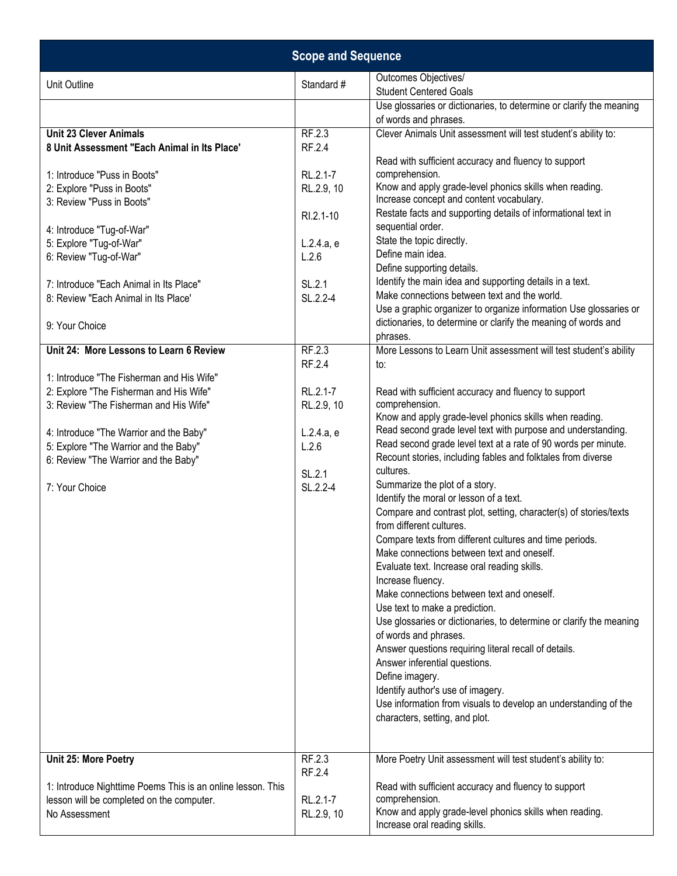|                                                                               | <b>Scope and Sequence</b> |                                                                                                                                |
|-------------------------------------------------------------------------------|---------------------------|--------------------------------------------------------------------------------------------------------------------------------|
| Unit Outline                                                                  | Standard #                | Outcomes Objectives/<br><b>Student Centered Goals</b>                                                                          |
|                                                                               |                           | Use glossaries or dictionaries, to determine or clarify the meaning                                                            |
|                                                                               |                           | of words and phrases.                                                                                                          |
| <b>Unit 23 Clever Animals</b>                                                 | RF.2.3                    | Clever Animals Unit assessment will test student's ability to:                                                                 |
| 8 Unit Assessment "Each Animal in Its Place'                                  | RF.2.4                    |                                                                                                                                |
| 1: Introduce "Puss in Boots"                                                  | RL.2.1-7                  | Read with sufficient accuracy and fluency to support<br>comprehension.                                                         |
| 2: Explore "Puss in Boots"                                                    | RL.2.9, 10                | Know and apply grade-level phonics skills when reading.                                                                        |
| 3: Review "Puss in Boots"                                                     |                           | Increase concept and content vocabulary.                                                                                       |
|                                                                               | RI.2.1-10                 | Restate facts and supporting details of informational text in                                                                  |
| 4: Introduce "Tug-of-War"                                                     |                           | sequential order.                                                                                                              |
| 5: Explore "Tug-of-War"                                                       | L.2.4.a, e                | State the topic directly.<br>Define main idea.                                                                                 |
| 6: Review "Tug-of-War"                                                        | L.2.6                     | Define supporting details.                                                                                                     |
| 7: Introduce "Each Animal in Its Place"                                       | SL.2.1                    | Identify the main idea and supporting details in a text.                                                                       |
| 8: Review "Each Animal in Its Place'                                          | SL.2.2-4                  | Make connections between text and the world.                                                                                   |
|                                                                               |                           | Use a graphic organizer to organize information Use glossaries or                                                              |
| 9: Your Choice                                                                |                           | dictionaries, to determine or clarify the meaning of words and                                                                 |
| Unit 24: More Lessons to Learn 6 Review                                       | RF.2.3                    | phrases.                                                                                                                       |
|                                                                               | RF.2.4                    | More Lessons to Learn Unit assessment will test student's ability<br>to:                                                       |
| 1: Introduce "The Fisherman and His Wife"                                     |                           |                                                                                                                                |
| 2: Explore "The Fisherman and His Wife"                                       | RL.2.1-7                  | Read with sufficient accuracy and fluency to support                                                                           |
| 3: Review "The Fisherman and His Wife"                                        | RL.2.9, 10                | comprehension.                                                                                                                 |
|                                                                               |                           | Know and apply grade-level phonics skills when reading.                                                                        |
| 4: Introduce "The Warrior and the Baby"                                       | L.2.4.a, e                | Read second grade level text with purpose and understanding.<br>Read second grade level text at a rate of 90 words per minute. |
| 5: Explore "The Warrior and the Baby"<br>6: Review "The Warrior and the Baby" | L.2.6                     | Recount stories, including fables and folktales from diverse                                                                   |
|                                                                               | SL.2.1                    | cultures.                                                                                                                      |
| 7: Your Choice                                                                | SL.2.2-4                  | Summarize the plot of a story.                                                                                                 |
|                                                                               |                           | Identify the moral or lesson of a text.                                                                                        |
|                                                                               |                           | Compare and contrast plot, setting, character(s) of stories/texts<br>from different cultures.                                  |
|                                                                               |                           | Compare texts from different cultures and time periods.                                                                        |
|                                                                               |                           | Make connections between text and oneself.                                                                                     |
|                                                                               |                           | Evaluate text. Increase oral reading skills.                                                                                   |
|                                                                               |                           | Increase fluency.                                                                                                              |
|                                                                               |                           | Make connections between text and oneself.                                                                                     |
|                                                                               |                           | Use text to make a prediction.                                                                                                 |
|                                                                               |                           | Use glossaries or dictionaries, to determine or clarify the meaning<br>of words and phrases.                                   |
|                                                                               |                           | Answer questions requiring literal recall of details.                                                                          |
|                                                                               |                           | Answer inferential questions.                                                                                                  |
|                                                                               |                           | Define imagery.                                                                                                                |
|                                                                               |                           | Identify author's use of imagery.                                                                                              |
|                                                                               |                           | Use information from visuals to develop an understanding of the                                                                |
|                                                                               |                           | characters, setting, and plot.                                                                                                 |
|                                                                               |                           |                                                                                                                                |
| Unit 25: More Poetry                                                          | RF.2.3                    | More Poetry Unit assessment will test student's ability to:                                                                    |
|                                                                               | RF.2.4                    |                                                                                                                                |
| 1: Introduce Nighttime Poems This is an online lesson. This                   |                           | Read with sufficient accuracy and fluency to support                                                                           |
| lesson will be completed on the computer.<br>No Assessment                    | RL.2.1-7<br>RL.2.9, 10    | comprehension.<br>Know and apply grade-level phonics skills when reading.                                                      |
|                                                                               |                           | Increase oral reading skills.                                                                                                  |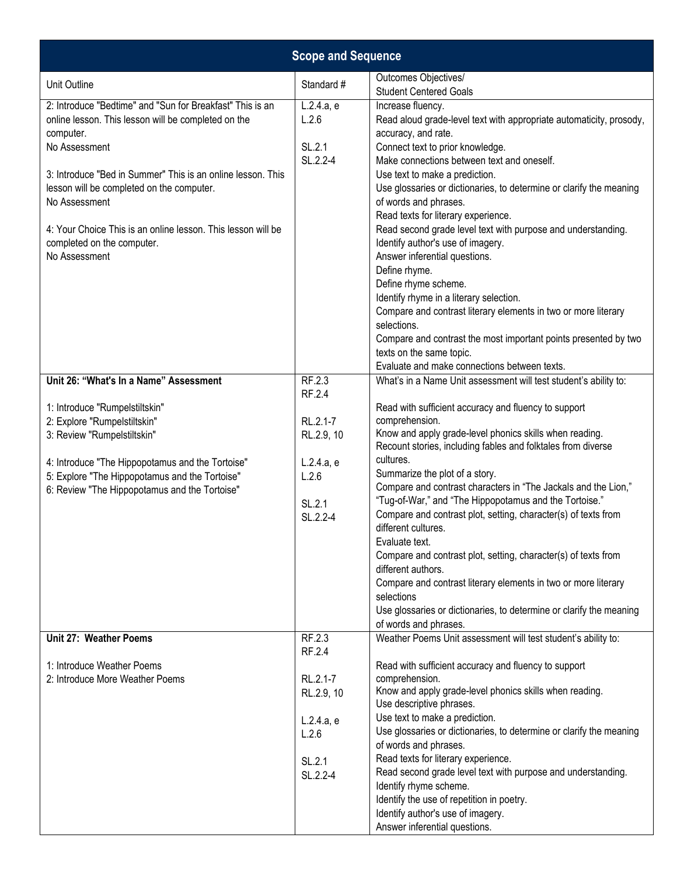|                                                                                                                               | <b>Scope and Sequence</b> |                                                                                                                                                                       |
|-------------------------------------------------------------------------------------------------------------------------------|---------------------------|-----------------------------------------------------------------------------------------------------------------------------------------------------------------------|
| Unit Outline                                                                                                                  | Standard #                | Outcomes Objectives/<br><b>Student Centered Goals</b>                                                                                                                 |
| 2: Introduce "Bedtime" and "Sun for Breakfast" This is an<br>online lesson. This lesson will be completed on the<br>computer. | L.2.4.a, e<br>L.2.6       | Increase fluency.<br>Read aloud grade-level text with appropriate automaticity, prosody,<br>accuracy, and rate.                                                       |
| No Assessment                                                                                                                 | SL.2.1<br>SL.2.2-4        | Connect text to prior knowledge.<br>Make connections between text and oneself.                                                                                        |
| 3: Introduce "Bed in Summer" This is an online lesson. This<br>lesson will be completed on the computer.<br>No Assessment     |                           | Use text to make a prediction.<br>Use glossaries or dictionaries, to determine or clarify the meaning<br>of words and phrases.<br>Read texts for literary experience. |
| 4: Your Choice This is an online lesson. This lesson will be<br>completed on the computer.<br>No Assessment                   |                           | Read second grade level text with purpose and understanding.<br>Identify author's use of imagery.<br>Answer inferential questions.                                    |
|                                                                                                                               |                           | Define rhyme.<br>Define rhyme scheme.                                                                                                                                 |
|                                                                                                                               |                           | Identify rhyme in a literary selection.<br>Compare and contrast literary elements in two or more literary<br>selections.                                              |
|                                                                                                                               |                           | Compare and contrast the most important points presented by two<br>texts on the same topic.<br>Evaluate and make connections between texts.                           |
| Unit 26: "What's In a Name" Assessment                                                                                        | RF.2.3                    | What's in a Name Unit assessment will test student's ability to:                                                                                                      |
|                                                                                                                               | RF.2.4                    |                                                                                                                                                                       |
| 1: Introduce "Rumpelstiltskin"                                                                                                |                           | Read with sufficient accuracy and fluency to support                                                                                                                  |
| 2: Explore "Rumpelstiltskin"                                                                                                  | RL.2.1-7                  | comprehension.                                                                                                                                                        |
| 3: Review "Rumpelstiltskin"                                                                                                   | RL.2.9, 10                | Know and apply grade-level phonics skills when reading.<br>Recount stories, including fables and folktales from diverse                                               |
| 4: Introduce "The Hippopotamus and the Tortoise"                                                                              | L.2.4.a, e                | cultures.                                                                                                                                                             |
| 5: Explore "The Hippopotamus and the Tortoise"                                                                                | L.2.6                     | Summarize the plot of a story.                                                                                                                                        |
| 6: Review "The Hippopotamus and the Tortoise"                                                                                 |                           | Compare and contrast characters in "The Jackals and the Lion,"                                                                                                        |
|                                                                                                                               | SL.2.1                    | "Tug-of-War," and "The Hippopotamus and the Tortoise."                                                                                                                |
|                                                                                                                               | SL.2.2-4                  | Compare and contrast plot, setting, character(s) of texts from<br>different cultures.                                                                                 |
|                                                                                                                               |                           | Evaluate text.<br>Compare and contrast plot, setting, character(s) of texts from                                                                                      |
|                                                                                                                               |                           | different authors.                                                                                                                                                    |
|                                                                                                                               |                           | Compare and contrast literary elements in two or more literary<br>selections                                                                                          |
|                                                                                                                               |                           | Use glossaries or dictionaries, to determine or clarify the meaning<br>of words and phrases.                                                                          |
| Unit 27: Weather Poems                                                                                                        | RF.2.3<br>RF.2.4          | Weather Poems Unit assessment will test student's ability to:                                                                                                         |
| 1: Introduce Weather Poems                                                                                                    |                           | Read with sufficient accuracy and fluency to support                                                                                                                  |
| 2: Introduce More Weather Poems                                                                                               | RL.2.1-7                  | comprehension.                                                                                                                                                        |
|                                                                                                                               | RL.2.9, 10                | Know and apply grade-level phonics skills when reading.<br>Use descriptive phrases.                                                                                   |
|                                                                                                                               | L.2.4.a, e                | Use text to make a prediction.                                                                                                                                        |
|                                                                                                                               | L.2.6                     | Use glossaries or dictionaries, to determine or clarify the meaning<br>of words and phrases.                                                                          |
|                                                                                                                               |                           | Read texts for literary experience.                                                                                                                                   |
|                                                                                                                               | SL.2.1<br>SL.2.2-4        | Read second grade level text with purpose and understanding.                                                                                                          |
|                                                                                                                               |                           | Identify rhyme scheme.                                                                                                                                                |
|                                                                                                                               |                           | Identify the use of repetition in poetry.                                                                                                                             |
|                                                                                                                               |                           | Identify author's use of imagery.                                                                                                                                     |
|                                                                                                                               |                           | Answer inferential questions.                                                                                                                                         |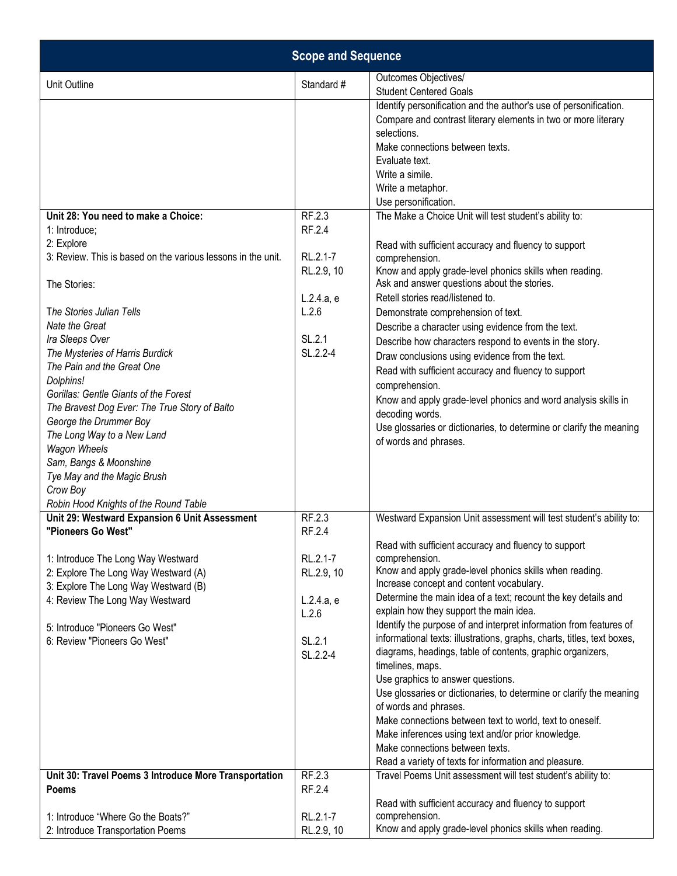| <b>Scope and Sequence</b>                                                                                                                                                                                                                                                                         |                                                                                         |                                                                                                                                                                                                                                                                                                                                                                                                                                                                                                                                                                                                                                                                                                                                                                                                                            |  |
|---------------------------------------------------------------------------------------------------------------------------------------------------------------------------------------------------------------------------------------------------------------------------------------------------|-----------------------------------------------------------------------------------------|----------------------------------------------------------------------------------------------------------------------------------------------------------------------------------------------------------------------------------------------------------------------------------------------------------------------------------------------------------------------------------------------------------------------------------------------------------------------------------------------------------------------------------------------------------------------------------------------------------------------------------------------------------------------------------------------------------------------------------------------------------------------------------------------------------------------------|--|
| Unit Outline                                                                                                                                                                                                                                                                                      | Standard #                                                                              | Outcomes Objectives/<br><b>Student Centered Goals</b>                                                                                                                                                                                                                                                                                                                                                                                                                                                                                                                                                                                                                                                                                                                                                                      |  |
| Unit 28: You need to make a Choice:<br>1: Introduce;<br>2: Explore<br>3: Review. This is based on the various lessons in the unit.<br>The Stories:<br>The Stories Julian Tells<br>Nate the Great<br>Ira Sleeps Over<br>The Mysteries of Harris Burdick<br>The Pain and the Great One<br>Dolphins! | RF.2.3<br>RF.2.4<br>RL.2.1-7<br>RL.2.9, 10<br>L.2.4.a, e<br>L.2.6<br>SL.2.1<br>SL.2.2-4 | Identify personification and the author's use of personification.<br>Compare and contrast literary elements in two or more literary<br>selections.<br>Make connections between texts.<br>Evaluate text.<br>Write a simile.<br>Write a metaphor.<br>Use personification.<br>The Make a Choice Unit will test student's ability to:<br>Read with sufficient accuracy and fluency to support<br>comprehension.<br>Know and apply grade-level phonics skills when reading.<br>Ask and answer questions about the stories.<br>Retell stories read/listened to.<br>Demonstrate comprehension of text.<br>Describe a character using evidence from the text.<br>Describe how characters respond to events in the story.<br>Draw conclusions using evidence from the text.<br>Read with sufficient accuracy and fluency to support |  |
| Gorillas: Gentle Giants of the Forest<br>The Bravest Dog Ever: The True Story of Balto<br>George the Drummer Boy<br>The Long Way to a New Land<br>Wagon Wheels<br>Sam, Bangs & Moonshine<br>Tye May and the Magic Brush<br>Crow Boy<br>Robin Hood Knights of the Round Table                      |                                                                                         | comprehension.<br>Know and apply grade-level phonics and word analysis skills in<br>decoding words.<br>Use glossaries or dictionaries, to determine or clarify the meaning<br>of words and phrases.                                                                                                                                                                                                                                                                                                                                                                                                                                                                                                                                                                                                                        |  |
| Unit 29: Westward Expansion 6 Unit Assessment<br>"Pioneers Go West"                                                                                                                                                                                                                               | RF.2.3<br>RF.2.4                                                                        | Westward Expansion Unit assessment will test student's ability to:                                                                                                                                                                                                                                                                                                                                                                                                                                                                                                                                                                                                                                                                                                                                                         |  |
| 1: Introduce The Long Way Westward<br>2: Explore The Long Way Westward (A)<br>3: Explore The Long Way Westward (B)<br>4: Review The Long Way Westward<br>5: Introduce "Pioneers Go West"                                                                                                          | RL.2.1-7<br>RL.2.9, 10<br>L.2.4.a, e<br>L.2.6                                           | Read with sufficient accuracy and fluency to support<br>comprehension.<br>Know and apply grade-level phonics skills when reading.<br>Increase concept and content vocabulary.<br>Determine the main idea of a text; recount the key details and<br>explain how they support the main idea.<br>Identify the purpose of and interpret information from features of                                                                                                                                                                                                                                                                                                                                                                                                                                                           |  |
| 6: Review "Pioneers Go West"                                                                                                                                                                                                                                                                      | SL.2.1<br>SL.2.2-4                                                                      | informational texts: illustrations, graphs, charts, titles, text boxes,<br>diagrams, headings, table of contents, graphic organizers,<br>timelines, maps.<br>Use graphics to answer questions.<br>Use glossaries or dictionaries, to determine or clarify the meaning<br>of words and phrases.<br>Make connections between text to world, text to oneself.<br>Make inferences using text and/or prior knowledge.<br>Make connections between texts.<br>Read a variety of texts for information and pleasure.                                                                                                                                                                                                                                                                                                               |  |
| Unit 30: Travel Poems 3 Introduce More Transportation<br><b>Poems</b>                                                                                                                                                                                                                             | RF.2.3<br>RF.2.4                                                                        | Travel Poems Unit assessment will test student's ability to:                                                                                                                                                                                                                                                                                                                                                                                                                                                                                                                                                                                                                                                                                                                                                               |  |
| 1: Introduce "Where Go the Boats?"<br>2: Introduce Transportation Poems                                                                                                                                                                                                                           | RL.2.1-7<br>RL.2.9, 10                                                                  | Read with sufficient accuracy and fluency to support<br>comprehension.<br>Know and apply grade-level phonics skills when reading.                                                                                                                                                                                                                                                                                                                                                                                                                                                                                                                                                                                                                                                                                          |  |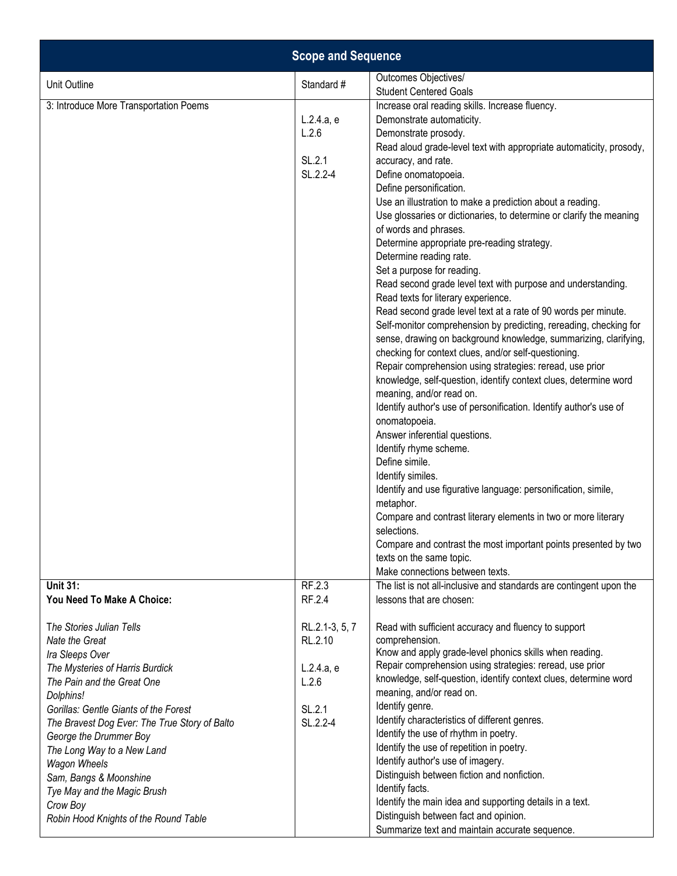| <b>Scope and Sequence</b>                                                                                                                                                                                                                                                                                                                                                                                                          |                                                                        |                                                                                                                                                                                                                                                                                                                                                                                                                                                                                                                                                                                                                                                                                                                                                                                                                                                                                                                                                                                                                                                                                                                                                                                                                                                                                                                                                                                                                                                                                                                                                             |
|------------------------------------------------------------------------------------------------------------------------------------------------------------------------------------------------------------------------------------------------------------------------------------------------------------------------------------------------------------------------------------------------------------------------------------|------------------------------------------------------------------------|-------------------------------------------------------------------------------------------------------------------------------------------------------------------------------------------------------------------------------------------------------------------------------------------------------------------------------------------------------------------------------------------------------------------------------------------------------------------------------------------------------------------------------------------------------------------------------------------------------------------------------------------------------------------------------------------------------------------------------------------------------------------------------------------------------------------------------------------------------------------------------------------------------------------------------------------------------------------------------------------------------------------------------------------------------------------------------------------------------------------------------------------------------------------------------------------------------------------------------------------------------------------------------------------------------------------------------------------------------------------------------------------------------------------------------------------------------------------------------------------------------------------------------------------------------------|
| Unit Outline                                                                                                                                                                                                                                                                                                                                                                                                                       | Standard #                                                             | Outcomes Objectives/<br><b>Student Centered Goals</b>                                                                                                                                                                                                                                                                                                                                                                                                                                                                                                                                                                                                                                                                                                                                                                                                                                                                                                                                                                                                                                                                                                                                                                                                                                                                                                                                                                                                                                                                                                       |
| 3: Introduce More Transportation Poems                                                                                                                                                                                                                                                                                                                                                                                             | L.2.4.a, e<br>L.2.6<br>SL.2.1<br>SL.2.2-4                              | Increase oral reading skills. Increase fluency.<br>Demonstrate automaticity.<br>Demonstrate prosody.<br>Read aloud grade-level text with appropriate automaticity, prosody,<br>accuracy, and rate.<br>Define onomatopoeia.<br>Define personification.<br>Use an illustration to make a prediction about a reading.<br>Use glossaries or dictionaries, to determine or clarify the meaning<br>of words and phrases.<br>Determine appropriate pre-reading strategy.<br>Determine reading rate.<br>Set a purpose for reading.<br>Read second grade level text with purpose and understanding.<br>Read texts for literary experience.<br>Read second grade level text at a rate of 90 words per minute.<br>Self-monitor comprehension by predicting, rereading, checking for<br>sense, drawing on background knowledge, summarizing, clarifying,<br>checking for context clues, and/or self-questioning.<br>Repair comprehension using strategies: reread, use prior<br>knowledge, self-question, identify context clues, determine word<br>meaning, and/or read on.<br>Identify author's use of personification. Identify author's use of<br>onomatopoeia.<br>Answer inferential questions.<br>Identify rhyme scheme.<br>Define simile.<br>Identify similes.<br>Identify and use figurative language: personification, simile,<br>metaphor.<br>Compare and contrast literary elements in two or more literary<br>selections.<br>Compare and contrast the most important points presented by two<br>texts on the same topic.<br>Make connections between texts. |
| <b>Unit 31:</b><br>You Need To Make A Choice:                                                                                                                                                                                                                                                                                                                                                                                      | RF.2.3<br>RF.2.4                                                       | The list is not all-inclusive and standards are contingent upon the<br>lessons that are chosen:                                                                                                                                                                                                                                                                                                                                                                                                                                                                                                                                                                                                                                                                                                                                                                                                                                                                                                                                                                                                                                                                                                                                                                                                                                                                                                                                                                                                                                                             |
| The Stories Julian Tells<br>Nate the Great<br>Ira Sleeps Over<br>The Mysteries of Harris Burdick<br>The Pain and the Great One<br>Dolphins!<br>Gorillas: Gentle Giants of the Forest<br>The Bravest Dog Ever: The True Story of Balto<br>George the Drummer Boy<br>The Long Way to a New Land<br><b>Wagon Wheels</b><br>Sam, Bangs & Moonshine<br>Tye May and the Magic Brush<br>Crow Boy<br>Robin Hood Knights of the Round Table | RL.2.1-3, 5, 7<br>RL.2.10<br>L.2.4.a, e<br>L.2.6<br>SL.2.1<br>SL.2.2-4 | Read with sufficient accuracy and fluency to support<br>comprehension.<br>Know and apply grade-level phonics skills when reading.<br>Repair comprehension using strategies: reread, use prior<br>knowledge, self-question, identify context clues, determine word<br>meaning, and/or read on.<br>Identify genre.<br>Identify characteristics of different genres.<br>Identify the use of rhythm in poetry.<br>Identify the use of repetition in poetry.<br>Identify author's use of imagery.<br>Distinguish between fiction and nonfiction.<br>Identify facts.<br>Identify the main idea and supporting details in a text.<br>Distinguish between fact and opinion.                                                                                                                                                                                                                                                                                                                                                                                                                                                                                                                                                                                                                                                                                                                                                                                                                                                                                         |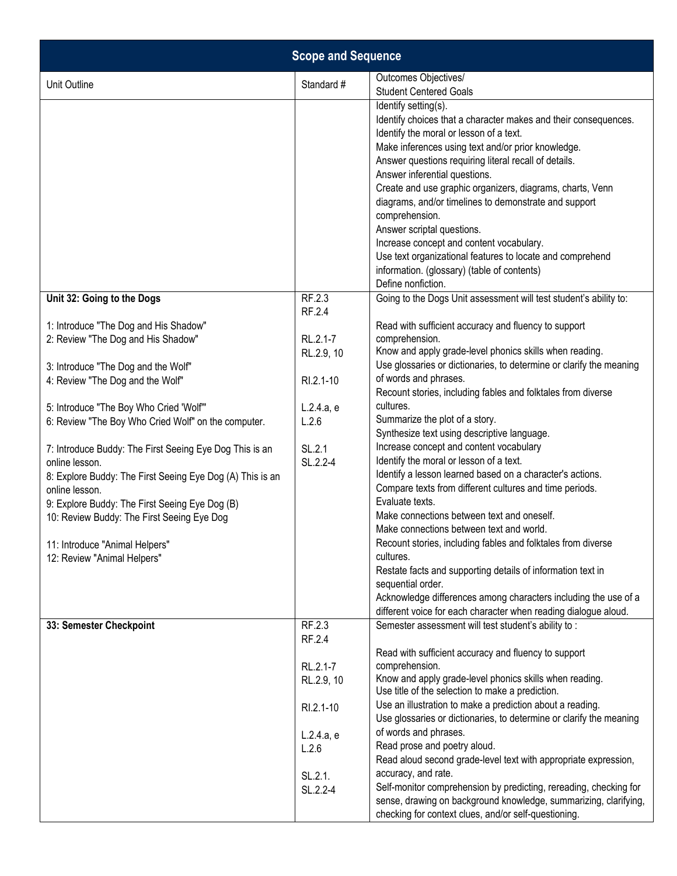| <b>Scope and Sequence</b>                                                                                                                                                                                                                                                                                                                                                                                                                                                                                                                                                            |                                                                                             |                                                                                                                                                                                                                                                                                                                                                                                                                                                                                                                                                                                                                                                                                                                                                                                                                                                                                             |
|--------------------------------------------------------------------------------------------------------------------------------------------------------------------------------------------------------------------------------------------------------------------------------------------------------------------------------------------------------------------------------------------------------------------------------------------------------------------------------------------------------------------------------------------------------------------------------------|---------------------------------------------------------------------------------------------|---------------------------------------------------------------------------------------------------------------------------------------------------------------------------------------------------------------------------------------------------------------------------------------------------------------------------------------------------------------------------------------------------------------------------------------------------------------------------------------------------------------------------------------------------------------------------------------------------------------------------------------------------------------------------------------------------------------------------------------------------------------------------------------------------------------------------------------------------------------------------------------------|
| Unit Outline                                                                                                                                                                                                                                                                                                                                                                                                                                                                                                                                                                         | Standard #                                                                                  | Outcomes Objectives/<br><b>Student Centered Goals</b>                                                                                                                                                                                                                                                                                                                                                                                                                                                                                                                                                                                                                                                                                                                                                                                                                                       |
|                                                                                                                                                                                                                                                                                                                                                                                                                                                                                                                                                                                      |                                                                                             | Identify setting(s).<br>Identify choices that a character makes and their consequences.<br>Identify the moral or lesson of a text.<br>Make inferences using text and/or prior knowledge.<br>Answer questions requiring literal recall of details.<br>Answer inferential questions.<br>Create and use graphic organizers, diagrams, charts, Venn<br>diagrams, and/or timelines to demonstrate and support<br>comprehension.<br>Answer scriptal questions.<br>Increase concept and content vocabulary.<br>Use text organizational features to locate and comprehend<br>information. (glossary) (table of contents)<br>Define nonfiction.                                                                                                                                                                                                                                                      |
| Unit 32: Going to the Dogs                                                                                                                                                                                                                                                                                                                                                                                                                                                                                                                                                           | RF.2.3<br>RF.2.4                                                                            | Going to the Dogs Unit assessment will test student's ability to:                                                                                                                                                                                                                                                                                                                                                                                                                                                                                                                                                                                                                                                                                                                                                                                                                           |
| 1: Introduce "The Dog and His Shadow"<br>2: Review "The Dog and His Shadow"<br>3: Introduce "The Dog and the Wolf"<br>4: Review "The Dog and the Wolf"<br>5: Introduce "The Boy Who Cried 'Wolf"<br>6: Review "The Boy Who Cried Wolf" on the computer.<br>7: Introduce Buddy: The First Seeing Eye Dog This is an<br>online lesson.<br>8: Explore Buddy: The First Seeing Eye Dog (A) This is an<br>online lesson.<br>9: Explore Buddy: The First Seeing Eye Dog (B)<br>10: Review Buddy: The First Seeing Eye Dog<br>11: Introduce "Animal Helpers"<br>12: Review "Animal Helpers" | RL.2.1-7<br>RL.2.9, 10<br>RI.2.1-10<br>L.2.4.a, e<br>L.2.6<br>SL.2.1<br>SL.2.2-4            | Read with sufficient accuracy and fluency to support<br>comprehension.<br>Know and apply grade-level phonics skills when reading.<br>Use glossaries or dictionaries, to determine or clarify the meaning<br>of words and phrases.<br>Recount stories, including fables and folktales from diverse<br>cultures.<br>Summarize the plot of a story.<br>Synthesize text using descriptive language.<br>Increase concept and content vocabulary<br>Identify the moral or lesson of a text.<br>Identify a lesson learned based on a character's actions.<br>Compare texts from different cultures and time periods.<br>Evaluate texts.<br>Make connections between text and oneself.<br>Make connections between text and world.<br>Recount stories, including fables and folktales from diverse<br>cultures.<br>Restate facts and supporting details of information text in<br>sequential order. |
|                                                                                                                                                                                                                                                                                                                                                                                                                                                                                                                                                                                      | RF.2.3                                                                                      | Acknowledge differences among characters including the use of a<br>different voice for each character when reading dialogue aloud.<br>Semester assessment will test student's ability to:                                                                                                                                                                                                                                                                                                                                                                                                                                                                                                                                                                                                                                                                                                   |
| 33: Semester Checkpoint                                                                                                                                                                                                                                                                                                                                                                                                                                                                                                                                                              | RF.2.4<br>RL.2.1-7<br>RL.2.9, 10<br>RI.2.1-10<br>L.2.4.a, e<br>L.2.6<br>SL.2.1.<br>SL.2.2-4 | Read with sufficient accuracy and fluency to support<br>comprehension.<br>Know and apply grade-level phonics skills when reading.<br>Use title of the selection to make a prediction.<br>Use an illustration to make a prediction about a reading.<br>Use glossaries or dictionaries, to determine or clarify the meaning<br>of words and phrases.<br>Read prose and poetry aloud.<br>Read aloud second grade-level text with appropriate expression,<br>accuracy, and rate.<br>Self-monitor comprehension by predicting, rereading, checking for<br>sense, drawing on background knowledge, summarizing, clarifying,<br>checking for context clues, and/or self-questioning.                                                                                                                                                                                                               |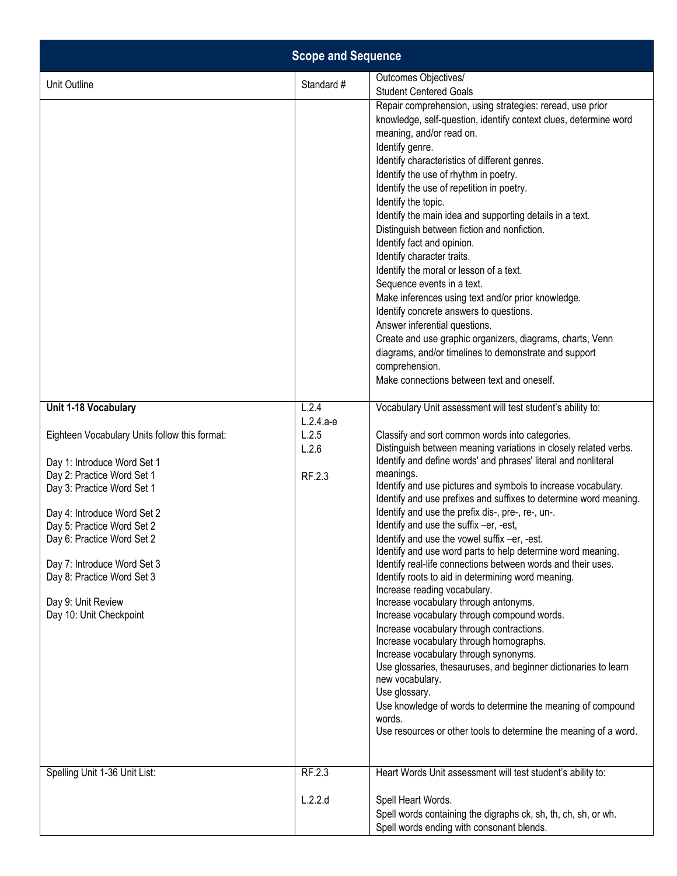| <b>Scope and Sequence</b>                                                                                                                                                                                                                                                                                                                         |                          |                                                                                                                                                                                                                                                                                                                                                                                                                                                                                                                                                                                                                                                                                                                                                                                                                                                                                                                                                                                                                                                                                                                                                                                           |
|---------------------------------------------------------------------------------------------------------------------------------------------------------------------------------------------------------------------------------------------------------------------------------------------------------------------------------------------------|--------------------------|-------------------------------------------------------------------------------------------------------------------------------------------------------------------------------------------------------------------------------------------------------------------------------------------------------------------------------------------------------------------------------------------------------------------------------------------------------------------------------------------------------------------------------------------------------------------------------------------------------------------------------------------------------------------------------------------------------------------------------------------------------------------------------------------------------------------------------------------------------------------------------------------------------------------------------------------------------------------------------------------------------------------------------------------------------------------------------------------------------------------------------------------------------------------------------------------|
| Unit Outline                                                                                                                                                                                                                                                                                                                                      | Standard #               | Outcomes Objectives/<br><b>Student Centered Goals</b>                                                                                                                                                                                                                                                                                                                                                                                                                                                                                                                                                                                                                                                                                                                                                                                                                                                                                                                                                                                                                                                                                                                                     |
|                                                                                                                                                                                                                                                                                                                                                   |                          | Repair comprehension, using strategies: reread, use prior<br>knowledge, self-question, identify context clues, determine word<br>meaning, and/or read on.<br>Identify genre.<br>Identify characteristics of different genres.<br>Identify the use of rhythm in poetry.<br>Identify the use of repetition in poetry.<br>Identify the topic.<br>Identify the main idea and supporting details in a text.<br>Distinguish between fiction and nonfiction.<br>Identify fact and opinion.<br>Identify character traits.<br>Identify the moral or lesson of a text.<br>Sequence events in a text.<br>Make inferences using text and/or prior knowledge.<br>Identify concrete answers to questions.<br>Answer inferential questions.<br>Create and use graphic organizers, diagrams, charts, Venn<br>diagrams, and/or timelines to demonstrate and support<br>comprehension.<br>Make connections between text and oneself.                                                                                                                                                                                                                                                                        |
| Unit 1-18 Vocabulary                                                                                                                                                                                                                                                                                                                              | L.2.4<br>$L.2.4.a-e$     | Vocabulary Unit assessment will test student's ability to:                                                                                                                                                                                                                                                                                                                                                                                                                                                                                                                                                                                                                                                                                                                                                                                                                                                                                                                                                                                                                                                                                                                                |
| Eighteen Vocabulary Units follow this format:<br>Day 1: Introduce Word Set 1<br>Day 2: Practice Word Set 1<br>Day 3: Practice Word Set 1<br>Day 4: Introduce Word Set 2<br>Day 5: Practice Word Set 2<br>Day 6: Practice Word Set 2<br>Day 7: Introduce Word Set 3<br>Day 8: Practice Word Set 3<br>Day 9: Unit Review<br>Day 10: Unit Checkpoint | L.2.5<br>L.2.6<br>RF.2.3 | Classify and sort common words into categories.<br>Distinguish between meaning variations in closely related verbs.<br>Identify and define words' and phrases' literal and nonliteral<br>meanings.<br>Identify and use pictures and symbols to increase vocabulary.<br>Identify and use prefixes and suffixes to determine word meaning.<br>Identify and use the prefix dis-, pre-, re-, un-.<br>Identify and use the suffix -er, -est,<br>Identify and use the vowel suffix -er, -est.<br>Identify and use word parts to help determine word meaning.<br>Identify real-life connections between words and their uses.<br>Identify roots to aid in determining word meaning.<br>Increase reading vocabulary.<br>Increase vocabulary through antonyms.<br>Increase vocabulary through compound words.<br>Increase vocabulary through contractions.<br>Increase vocabulary through homographs.<br>Increase vocabulary through synonyms.<br>Use glossaries, thesauruses, and beginner dictionaries to learn<br>new vocabulary.<br>Use glossary.<br>Use knowledge of words to determine the meaning of compound<br>words.<br>Use resources or other tools to determine the meaning of a word. |
| Spelling Unit 1-36 Unit List:                                                                                                                                                                                                                                                                                                                     | RF.2.3<br>L.2.2.d        | Heart Words Unit assessment will test student's ability to:<br>Spell Heart Words.<br>Spell words containing the digraphs ck, sh, th, ch, sh, or wh.<br>Spell words ending with consonant blends.                                                                                                                                                                                                                                                                                                                                                                                                                                                                                                                                                                                                                                                                                                                                                                                                                                                                                                                                                                                          |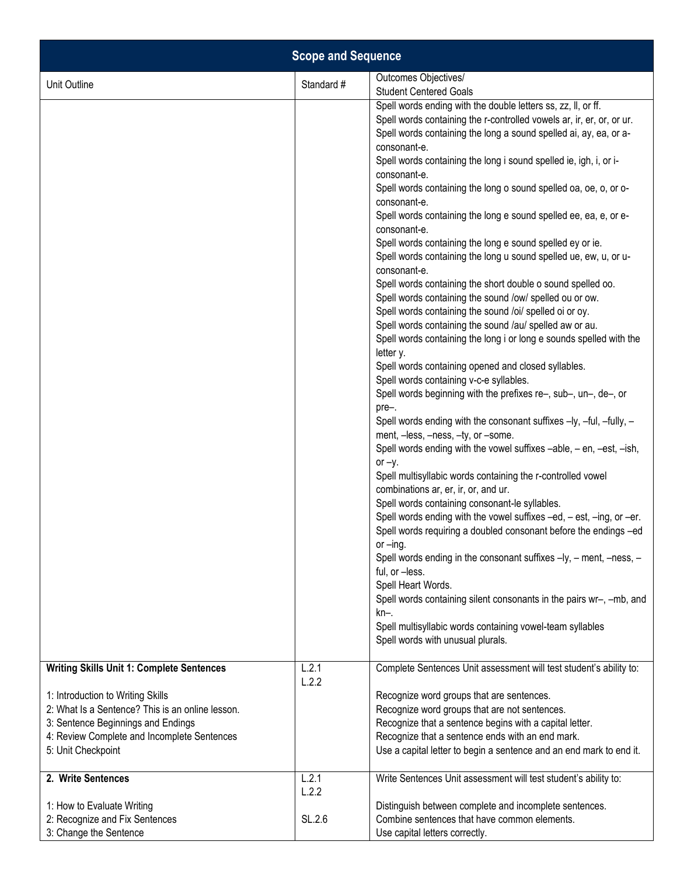| <b>Scope and Sequence</b>                                                                                                                                                                        |                |                                                                                                                                                                                                                                                                                                                                                                                                                                                                                                                                                                                                                                                                                                                                                                                                                                                                                                                                                                                                                                                                                                                                                                                                                                                                                                                                                                                                                                                                                                                                                                                                                                                                                                                                                                                                                                                                                                                                                                                        |
|--------------------------------------------------------------------------------------------------------------------------------------------------------------------------------------------------|----------------|----------------------------------------------------------------------------------------------------------------------------------------------------------------------------------------------------------------------------------------------------------------------------------------------------------------------------------------------------------------------------------------------------------------------------------------------------------------------------------------------------------------------------------------------------------------------------------------------------------------------------------------------------------------------------------------------------------------------------------------------------------------------------------------------------------------------------------------------------------------------------------------------------------------------------------------------------------------------------------------------------------------------------------------------------------------------------------------------------------------------------------------------------------------------------------------------------------------------------------------------------------------------------------------------------------------------------------------------------------------------------------------------------------------------------------------------------------------------------------------------------------------------------------------------------------------------------------------------------------------------------------------------------------------------------------------------------------------------------------------------------------------------------------------------------------------------------------------------------------------------------------------------------------------------------------------------------------------------------------------|
| Unit Outline                                                                                                                                                                                     | Standard #     | Outcomes Objectives/<br><b>Student Centered Goals</b>                                                                                                                                                                                                                                                                                                                                                                                                                                                                                                                                                                                                                                                                                                                                                                                                                                                                                                                                                                                                                                                                                                                                                                                                                                                                                                                                                                                                                                                                                                                                                                                                                                                                                                                                                                                                                                                                                                                                  |
|                                                                                                                                                                                                  |                | Spell words ending with the double letters ss, zz, II, or ff.<br>Spell words containing the r-controlled vowels ar, ir, er, or, or ur.<br>Spell words containing the long a sound spelled ai, ay, ea, or a-<br>consonant-e.<br>Spell words containing the long i sound spelled ie, igh, i, or i-<br>consonant-e.<br>Spell words containing the long o sound spelled oa, oe, o, or o-<br>consonant-e.<br>Spell words containing the long e sound spelled ee, ea, e, or e-<br>consonant-e.<br>Spell words containing the long e sound spelled ey or ie.<br>Spell words containing the long u sound spelled ue, ew, u, or u-<br>consonant-e.<br>Spell words containing the short double o sound spelled oo.<br>Spell words containing the sound /ow/ spelled ou or ow.<br>Spell words containing the sound /oi/ spelled oi or oy.<br>Spell words containing the sound /au/ spelled aw or au.<br>Spell words containing the long i or long e sounds spelled with the<br>letter y.<br>Spell words containing opened and closed syllables.<br>Spell words containing v-c-e syllables.<br>Spell words beginning with the prefixes re-, sub-, un-, de-, or<br>pre-.<br>Spell words ending with the consonant suffixes -ly, -ful, -fully, -<br>ment, -less, -ness, -ty, or -some.<br>Spell words ending with the vowel suffixes -able, - en, -est, -ish,<br>or $-y$ .<br>Spell multisyllabic words containing the r-controlled vowel<br>combinations ar, er, ir, or, and ur.<br>Spell words containing consonant-le syllables.<br>Spell words ending with the vowel suffixes -ed, - est, -ing, or -er.<br>Spell words requiring a doubled consonant before the endings -ed<br>or $-\text{ing}$ .<br>Spell words ending in the consonant suffixes -ly, - ment, -ness, -<br>ful, or -less.<br>Spell Heart Words.<br>Spell words containing silent consonants in the pairs wr-, -mb, and<br>kn-.<br>Spell multisyllabic words containing vowel-team syllables<br>Spell words with unusual plurals. |
| <b>Writing Skills Unit 1: Complete Sentences</b>                                                                                                                                                 | L.2.1<br>L.2.2 | Complete Sentences Unit assessment will test student's ability to:                                                                                                                                                                                                                                                                                                                                                                                                                                                                                                                                                                                                                                                                                                                                                                                                                                                                                                                                                                                                                                                                                                                                                                                                                                                                                                                                                                                                                                                                                                                                                                                                                                                                                                                                                                                                                                                                                                                     |
| 1: Introduction to Writing Skills<br>2: What Is a Sentence? This is an online lesson.<br>3: Sentence Beginnings and Endings<br>4: Review Complete and Incomplete Sentences<br>5: Unit Checkpoint |                | Recognize word groups that are sentences.<br>Recognize word groups that are not sentences.<br>Recognize that a sentence begins with a capital letter.<br>Recognize that a sentence ends with an end mark.<br>Use a capital letter to begin a sentence and an end mark to end it.                                                                                                                                                                                                                                                                                                                                                                                                                                                                                                                                                                                                                                                                                                                                                                                                                                                                                                                                                                                                                                                                                                                                                                                                                                                                                                                                                                                                                                                                                                                                                                                                                                                                                                       |
| 2. Write Sentences                                                                                                                                                                               | L.2.1<br>L.2.2 | Write Sentences Unit assessment will test student's ability to:                                                                                                                                                                                                                                                                                                                                                                                                                                                                                                                                                                                                                                                                                                                                                                                                                                                                                                                                                                                                                                                                                                                                                                                                                                                                                                                                                                                                                                                                                                                                                                                                                                                                                                                                                                                                                                                                                                                        |
| 1: How to Evaluate Writing<br>2: Recognize and Fix Sentences<br>3: Change the Sentence                                                                                                           | SL.2.6         | Distinguish between complete and incomplete sentences.<br>Combine sentences that have common elements.<br>Use capital letters correctly.                                                                                                                                                                                                                                                                                                                                                                                                                                                                                                                                                                                                                                                                                                                                                                                                                                                                                                                                                                                                                                                                                                                                                                                                                                                                                                                                                                                                                                                                                                                                                                                                                                                                                                                                                                                                                                               |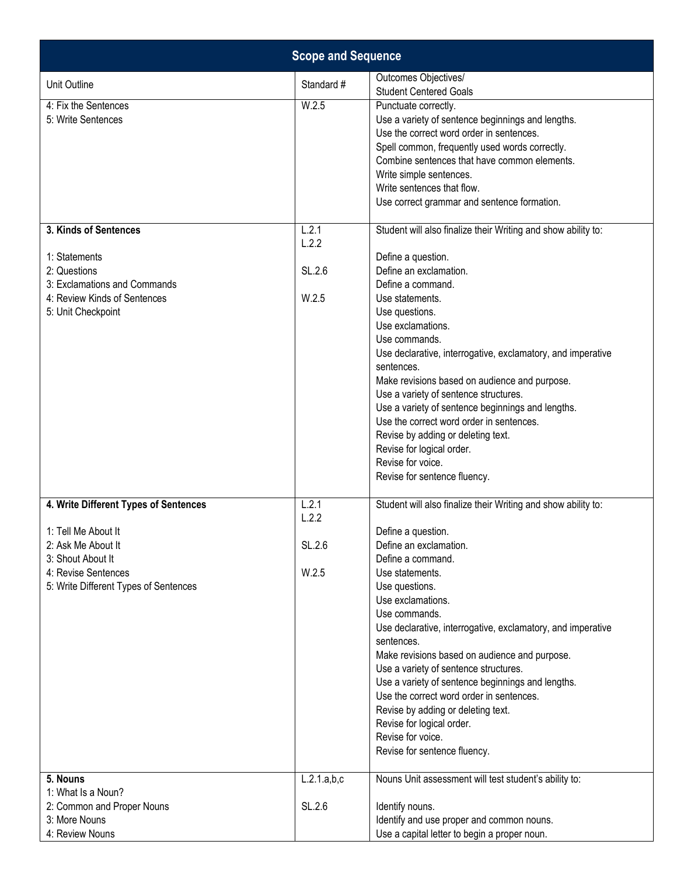| <b>Scope and Sequence</b>                                                                                                                                               |                                   |                                                                                                                                                                                                                                                                                                                                                                                                                                                                                                                                                                                                               |
|-------------------------------------------------------------------------------------------------------------------------------------------------------------------------|-----------------------------------|---------------------------------------------------------------------------------------------------------------------------------------------------------------------------------------------------------------------------------------------------------------------------------------------------------------------------------------------------------------------------------------------------------------------------------------------------------------------------------------------------------------------------------------------------------------------------------------------------------------|
| Unit Outline                                                                                                                                                            | Standard #                        | Outcomes Objectives/<br><b>Student Centered Goals</b>                                                                                                                                                                                                                                                                                                                                                                                                                                                                                                                                                         |
| 4: Fix the Sentences<br>5: Write Sentences                                                                                                                              | W.2.5                             | Punctuate correctly.<br>Use a variety of sentence beginnings and lengths.<br>Use the correct word order in sentences.<br>Spell common, frequently used words correctly.<br>Combine sentences that have common elements.<br>Write simple sentences.<br>Write sentences that flow.<br>Use correct grammar and sentence formation.                                                                                                                                                                                                                                                                               |
| 3. Kinds of Sentences<br>1: Statements<br>2: Questions<br>3: Exclamations and Commands<br>4: Review Kinds of Sentences<br>5: Unit Checkpoint                            | L.2.1<br>L.2.2<br>SL.2.6<br>W.2.5 | Student will also finalize their Writing and show ability to:<br>Define a question.<br>Define an exclamation.<br>Define a command.<br>Use statements.<br>Use questions.<br>Use exclamations.<br>Use commands.<br>Use declarative, interrogative, exclamatory, and imperative<br>sentences.<br>Make revisions based on audience and purpose.<br>Use a variety of sentence structures.<br>Use a variety of sentence beginnings and lengths.<br>Use the correct word order in sentences.<br>Revise by adding or deleting text.<br>Revise for logical order.<br>Revise for voice.<br>Revise for sentence fluency. |
| 4. Write Different Types of Sentences<br>1: Tell Me About It<br>2: Ask Me About It<br>3: Shout About It<br>4: Revise Sentences<br>5: Write Different Types of Sentences | L.2.1<br>L.2.2<br>SL.2.6<br>W.2.5 | Student will also finalize their Writing and show ability to:<br>Define a question.<br>Define an exclamation.<br>Define a command.<br>Use statements.<br>Use questions.<br>Use exclamations.<br>Use commands.<br>Use declarative, interrogative, exclamatory, and imperative<br>sentences.<br>Make revisions based on audience and purpose.<br>Use a variety of sentence structures.<br>Use a variety of sentence beginnings and lengths.<br>Use the correct word order in sentences.<br>Revise by adding or deleting text.<br>Revise for logical order.<br>Revise for voice.<br>Revise for sentence fluency. |
| 5. Nouns<br>1: What Is a Noun?<br>2: Common and Proper Nouns<br>3: More Nouns<br>4: Review Nouns                                                                        | L.2.1.a,b,c<br>SL.2.6             | Nouns Unit assessment will test student's ability to:<br>Identify nouns.<br>Identify and use proper and common nouns.<br>Use a capital letter to begin a proper noun.                                                                                                                                                                                                                                                                                                                                                                                                                                         |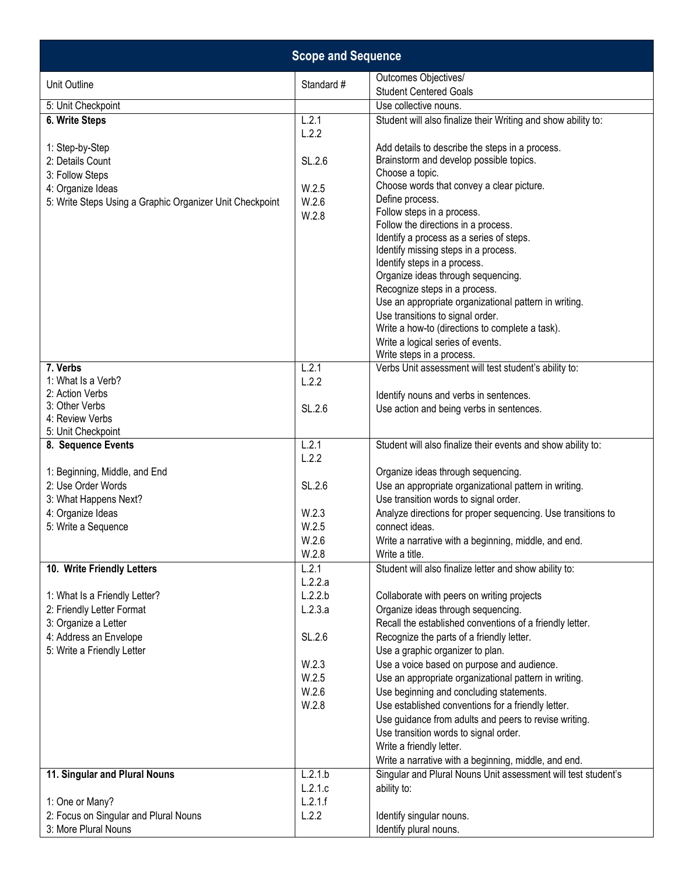|                                                                                                                                                     | <b>Scope and Sequence</b> |  |  |  |
|-----------------------------------------------------------------------------------------------------------------------------------------------------|---------------------------|--|--|--|
| Outcomes Objectives/<br>Unit Outline<br>Standard #<br><b>Student Centered Goals</b>                                                                 |                           |  |  |  |
| 5: Unit Checkpoint<br>Use collective nouns.                                                                                                         |                           |  |  |  |
| L.2.1<br>Student will also finalize their Writing and show ability to:<br>6. Write Steps                                                            |                           |  |  |  |
| L.2.2                                                                                                                                               |                           |  |  |  |
| 1: Step-by-Step<br>Add details to describe the steps in a process.                                                                                  |                           |  |  |  |
| Brainstorm and develop possible topics.<br>2: Details Count<br>SL.2.6                                                                               |                           |  |  |  |
| Choose a topic.<br>3: Follow Steps                                                                                                                  |                           |  |  |  |
| Choose words that convey a clear picture.<br>4: Organize Ideas<br>W.2.5                                                                             |                           |  |  |  |
| Define process.<br>W.2.6<br>5: Write Steps Using a Graphic Organizer Unit Checkpoint                                                                |                           |  |  |  |
| Follow steps in a process.<br>W.2.8                                                                                                                 |                           |  |  |  |
| Follow the directions in a process.<br>Identify a process as a series of steps.                                                                     |                           |  |  |  |
| Identify missing steps in a process.                                                                                                                |                           |  |  |  |
| Identify steps in a process.                                                                                                                        |                           |  |  |  |
| Organize ideas through sequencing.                                                                                                                  |                           |  |  |  |
| Recognize steps in a process.                                                                                                                       |                           |  |  |  |
| Use an appropriate organizational pattern in writing.                                                                                               |                           |  |  |  |
| Use transitions to signal order.                                                                                                                    |                           |  |  |  |
| Write a how-to (directions to complete a task).                                                                                                     |                           |  |  |  |
| Write a logical series of events.<br>Write steps in a process.                                                                                      |                           |  |  |  |
| L.2.1<br>7. Verbs<br>Verbs Unit assessment will test student's ability to:                                                                          |                           |  |  |  |
| 1: What Is a Verb?<br>L.2.2                                                                                                                         |                           |  |  |  |
| 2: Action Verbs<br>Identify nouns and verbs in sentences.                                                                                           |                           |  |  |  |
| 3: Other Verbs<br>SL.2.6<br>Use action and being verbs in sentences.                                                                                |                           |  |  |  |
| 4: Review Verbs                                                                                                                                     |                           |  |  |  |
| 5: Unit Checkpoint<br>L.2.1<br>Student will also finalize their events and show ability to:<br>8. Sequence Events                                   |                           |  |  |  |
| L.2.2                                                                                                                                               |                           |  |  |  |
| 1: Beginning, Middle, and End<br>Organize ideas through sequencing.                                                                                 |                           |  |  |  |
| 2: Use Order Words<br>SL.2.6<br>Use an appropriate organizational pattern in writing.                                                               |                           |  |  |  |
| Use transition words to signal order.<br>3: What Happens Next?                                                                                      |                           |  |  |  |
| Analyze directions for proper sequencing. Use transitions to<br>4: Organize Ideas<br>W.2.3                                                          |                           |  |  |  |
| 5: Write a Sequence<br>W.2.5<br>connect ideas.                                                                                                      |                           |  |  |  |
| Write a narrative with a beginning, middle, and end.<br>W.2.6                                                                                       |                           |  |  |  |
| W.2.8<br>Write a title.                                                                                                                             |                           |  |  |  |
| 10. Write Friendly Letters<br>L.2.1<br>Student will also finalize letter and show ability to:                                                       |                           |  |  |  |
| L.2.2.a                                                                                                                                             |                           |  |  |  |
| L.2.2.b<br>Collaborate with peers on writing projects<br>1: What Is a Friendly Letter?<br>L.2.3.a                                                   |                           |  |  |  |
| Organize ideas through sequencing.<br>2: Friendly Letter Format<br>Recall the established conventions of a friendly letter.<br>3: Organize a Letter |                           |  |  |  |
| SL.2.6<br>4: Address an Envelope<br>Recognize the parts of a friendly letter.                                                                       |                           |  |  |  |
| 5: Write a Friendly Letter<br>Use a graphic organizer to plan.                                                                                      |                           |  |  |  |
| W.2.3<br>Use a voice based on purpose and audience.                                                                                                 |                           |  |  |  |
| W.2.5<br>Use an appropriate organizational pattern in writing.                                                                                      |                           |  |  |  |
| W.2.6<br>Use beginning and concluding statements.                                                                                                   |                           |  |  |  |
| W.2.8<br>Use established conventions for a friendly letter.                                                                                         |                           |  |  |  |
| Use guidance from adults and peers to revise writing.                                                                                               |                           |  |  |  |
| Use transition words to signal order.                                                                                                               |                           |  |  |  |
| Write a friendly letter.                                                                                                                            |                           |  |  |  |
| Write a narrative with a beginning, middle, and end.                                                                                                |                           |  |  |  |
| $\overline{L.2}.1.b$<br>Singular and Plural Nouns Unit assessment will test student's<br>11. Singular and Plural Nouns                              |                           |  |  |  |
| L.2.1.c<br>ability to:<br>1: One or Many?<br>L.2.1.f                                                                                                |                           |  |  |  |
| 2: Focus on Singular and Plural Nouns<br>L.2.2<br>Identify singular nouns.                                                                          |                           |  |  |  |
| 3: More Plural Nouns<br>Identify plural nouns.                                                                                                      |                           |  |  |  |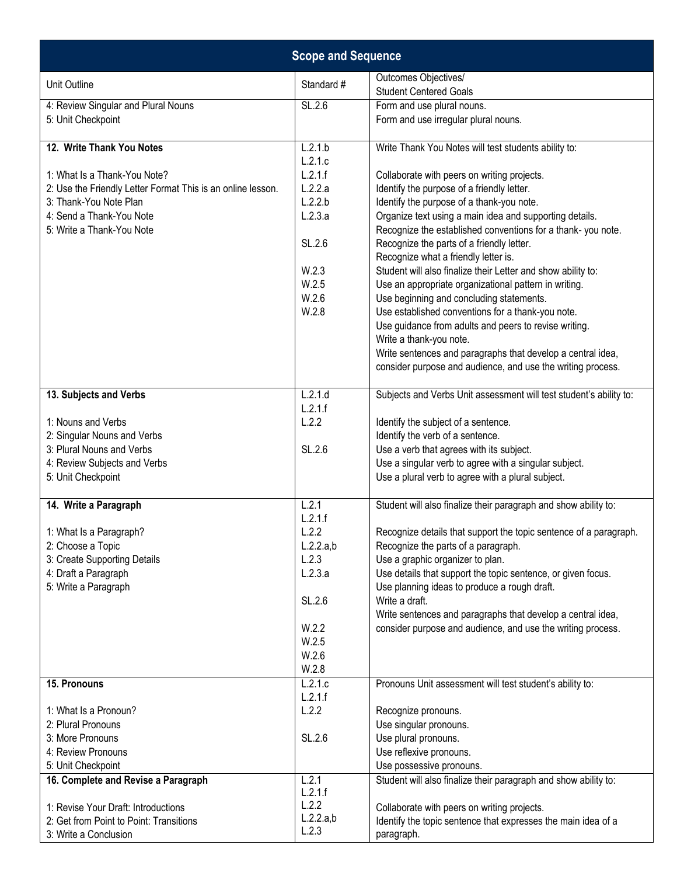| <b>Scope and Sequence</b>                                   |                    |                                                                                                                        |
|-------------------------------------------------------------|--------------------|------------------------------------------------------------------------------------------------------------------------|
| Unit Outline                                                | Standard #         | Outcomes Objectives/<br><b>Student Centered Goals</b>                                                                  |
| 4: Review Singular and Plural Nouns                         | SL.2.6             | Form and use plural nouns.                                                                                             |
| 5: Unit Checkpoint                                          |                    | Form and use irregular plural nouns.                                                                                   |
| 12. Write Thank You Notes                                   | L.2.1.b            | Write Thank You Notes will test students ability to:                                                                   |
|                                                             | L.2.1.c            |                                                                                                                        |
| 1: What Is a Thank-You Note?                                | L.2.1.f            | Collaborate with peers on writing projects.                                                                            |
| 2: Use the Friendly Letter Format This is an online lesson. | L.2.2.a            | Identify the purpose of a friendly letter.                                                                             |
| 3: Thank-You Note Plan                                      | L.2.2.b            | Identify the purpose of a thank-you note.                                                                              |
| 4: Send a Thank-You Note<br>5: Write a Thank-You Note       | L.2.3.a            | Organize text using a main idea and supporting details.<br>Recognize the established conventions for a thank-you note. |
|                                                             | SL.2.6             | Recognize the parts of a friendly letter.<br>Recognize what a friendly letter is.                                      |
|                                                             | W.2.3              | Student will also finalize their Letter and show ability to:                                                           |
|                                                             | W.2.5              | Use an appropriate organizational pattern in writing.                                                                  |
|                                                             | W.2.6              | Use beginning and concluding statements.                                                                               |
|                                                             | W.2.8              | Use established conventions for a thank-you note.                                                                      |
|                                                             |                    | Use guidance from adults and peers to revise writing.                                                                  |
|                                                             |                    | Write a thank-you note.                                                                                                |
|                                                             |                    | Write sentences and paragraphs that develop a central idea,                                                            |
|                                                             |                    | consider purpose and audience, and use the writing process.                                                            |
| 13. Subjects and Verbs                                      | L.2.1.d<br>L.2.1.f | Subjects and Verbs Unit assessment will test student's ability to:                                                     |
| 1: Nouns and Verbs                                          | L.2.2              | Identify the subject of a sentence.                                                                                    |
| 2: Singular Nouns and Verbs                                 |                    | Identify the verb of a sentence.                                                                                       |
| 3: Plural Nouns and Verbs                                   | SL.2.6             | Use a verb that agrees with its subject.                                                                               |
| 4: Review Subjects and Verbs                                |                    | Use a singular verb to agree with a singular subject.                                                                  |
| 5: Unit Checkpoint                                          |                    | Use a plural verb to agree with a plural subject.                                                                      |
| 14. Write a Paragraph                                       | L.2.1              | Student will also finalize their paragraph and show ability to:                                                        |
|                                                             | L.2.1.f            |                                                                                                                        |
| 1: What Is a Paragraph?                                     | L.2.2              | Recognize details that support the topic sentence of a paragraph.                                                      |
| 2: Choose a Topic                                           | L.2.2.a,b          | Recognize the parts of a paragraph.                                                                                    |
| 3: Create Supporting Details                                | L.2.3              | Use a graphic organizer to plan.                                                                                       |
| 4: Draft a Paragraph                                        | L.2.3.a            | Use details that support the topic sentence, or given focus.                                                           |
| 5: Write a Paragraph                                        |                    | Use planning ideas to produce a rough draft.<br>Write a draft.                                                         |
|                                                             | SL.2.6             | Write sentences and paragraphs that develop a central idea,                                                            |
|                                                             | W.2.2              | consider purpose and audience, and use the writing process.                                                            |
|                                                             | W.2.5              |                                                                                                                        |
|                                                             | W.2.6              |                                                                                                                        |
|                                                             | W.2.8              |                                                                                                                        |
| 15. Pronouns                                                | L.2.1.c            | Pronouns Unit assessment will test student's ability to:                                                               |
|                                                             | L.2.1.f            |                                                                                                                        |
| 1: What Is a Pronoun?                                       | L.2.2              | Recognize pronouns.                                                                                                    |
| 2: Plural Pronouns                                          |                    | Use singular pronouns.                                                                                                 |
| 3: More Pronouns<br>4: Review Pronouns                      | SL.2.6             | Use plural pronouns.<br>Use reflexive pronouns.                                                                        |
| 5: Unit Checkpoint                                          |                    | Use possessive pronouns.                                                                                               |
| 16. Complete and Revise a Paragraph                         | L.2.1              | Student will also finalize their paragraph and show ability to:                                                        |
|                                                             | L.2.1.f            |                                                                                                                        |
| 1: Revise Your Draft: Introductions                         | L.2.2              | Collaborate with peers on writing projects.                                                                            |
| 2: Get from Point to Point: Transitions                     | L.2.2.a,b          | Identify the topic sentence that expresses the main idea of a                                                          |
| 3: Write a Conclusion                                       | L.2.3              | paragraph.                                                                                                             |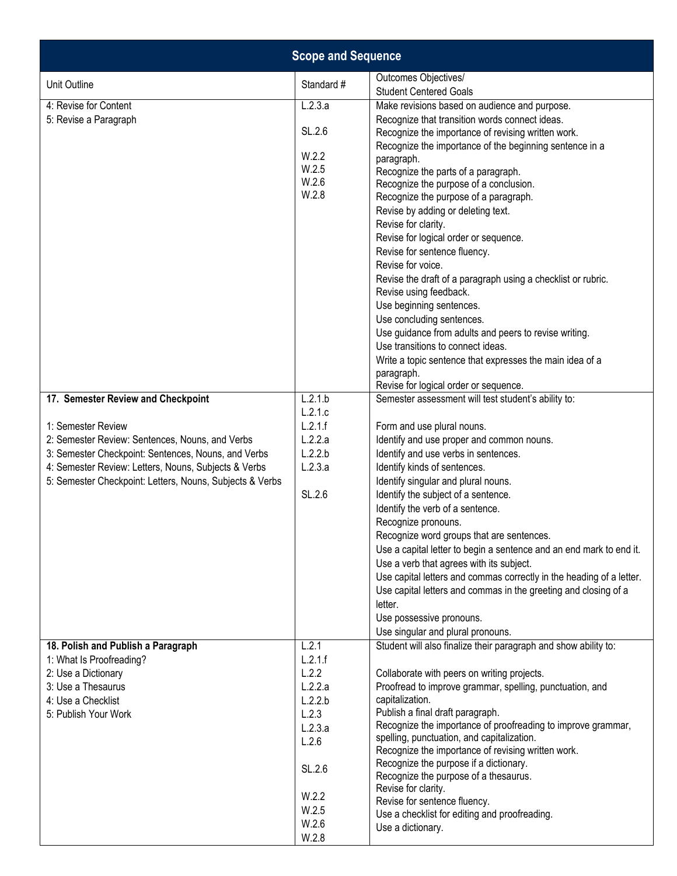|                                                                                                                                                                                                                                                                                        | <b>Scope and Sequence</b>                                                                                                  |                                                                                                                                                                                                                                                                                                                                                                                                                                                                                                                                                                                                                                                                                                                                                                      |
|----------------------------------------------------------------------------------------------------------------------------------------------------------------------------------------------------------------------------------------------------------------------------------------|----------------------------------------------------------------------------------------------------------------------------|----------------------------------------------------------------------------------------------------------------------------------------------------------------------------------------------------------------------------------------------------------------------------------------------------------------------------------------------------------------------------------------------------------------------------------------------------------------------------------------------------------------------------------------------------------------------------------------------------------------------------------------------------------------------------------------------------------------------------------------------------------------------|
| Unit Outline                                                                                                                                                                                                                                                                           | Standard #                                                                                                                 | Outcomes Objectives/<br><b>Student Centered Goals</b>                                                                                                                                                                                                                                                                                                                                                                                                                                                                                                                                                                                                                                                                                                                |
| 4: Revise for Content<br>5: Revise a Paragraph                                                                                                                                                                                                                                         | L.2.3.a<br>SL.2.6<br>W.2.2<br>W.2.5<br>W.2.6<br>W.2.8                                                                      | Make revisions based on audience and purpose.<br>Recognize that transition words connect ideas.<br>Recognize the importance of revising written work.<br>Recognize the importance of the beginning sentence in a<br>paragraph.<br>Recognize the parts of a paragraph.<br>Recognize the purpose of a conclusion.<br>Recognize the purpose of a paragraph.<br>Revise by adding or deleting text.<br>Revise for clarity.<br>Revise for logical order or sequence.<br>Revise for sentence fluency.<br>Revise for voice.<br>Revise the draft of a paragraph using a checklist or rubric.<br>Revise using feedback.<br>Use beginning sentences.<br>Use concluding sentences.<br>Use guidance from adults and peers to revise writing.<br>Use transitions to connect ideas. |
|                                                                                                                                                                                                                                                                                        |                                                                                                                            | Write a topic sentence that expresses the main idea of a<br>paragraph.<br>Revise for logical order or sequence.                                                                                                                                                                                                                                                                                                                                                                                                                                                                                                                                                                                                                                                      |
| 17. Semester Review and Checkpoint<br>1: Semester Review<br>2: Semester Review: Sentences, Nouns, and Verbs<br>3: Semester Checkpoint: Sentences, Nouns, and Verbs<br>4: Semester Review: Letters, Nouns, Subjects & Verbs<br>5: Semester Checkpoint: Letters, Nouns, Subjects & Verbs | L.2.1.b<br>L.2.1.c<br>L.2.1.f<br>L.2.2.a<br>L.2.2.b<br>L.2.3.a<br>SL.2.6                                                   | Semester assessment will test student's ability to:<br>Form and use plural nouns.<br>Identify and use proper and common nouns.<br>Identify and use verbs in sentences.<br>Identify kinds of sentences.<br>Identify singular and plural nouns.<br>Identify the subject of a sentence.<br>Identify the verb of a sentence.<br>Recognize pronouns.<br>Recognize word groups that are sentences.<br>Use a capital letter to begin a sentence and an end mark to end it.<br>Use a verb that agrees with its subject.<br>Use capital letters and commas correctly in the heading of a letter.<br>Use capital letters and commas in the greeting and closing of a<br>letter.<br>Use possessive pronouns.<br>Use singular and plural pronouns.                               |
| 18. Polish and Publish a Paragraph<br>1: What Is Proofreading?<br>2: Use a Dictionary<br>3: Use a Thesaurus<br>4: Use a Checklist<br>5: Publish Your Work                                                                                                                              | L.2.1<br>L.2.1.f<br>L.2.2<br>L.2.2.a<br>L.2.2.b<br>L.2.3<br>L.2.3.a<br>L.2.6<br>SL.2.6<br>W.2.2<br>W.2.5<br>W.2.6<br>W.2.8 | Student will also finalize their paragraph and show ability to:<br>Collaborate with peers on writing projects.<br>Proofread to improve grammar, spelling, punctuation, and<br>capitalization.<br>Publish a final draft paragraph.<br>Recognize the importance of proofreading to improve grammar,<br>spelling, punctuation, and capitalization.<br>Recognize the importance of revising written work.<br>Recognize the purpose if a dictionary.<br>Recognize the purpose of a thesaurus.<br>Revise for clarity.<br>Revise for sentence fluency.<br>Use a checklist for editing and proofreading.<br>Use a dictionary.                                                                                                                                                |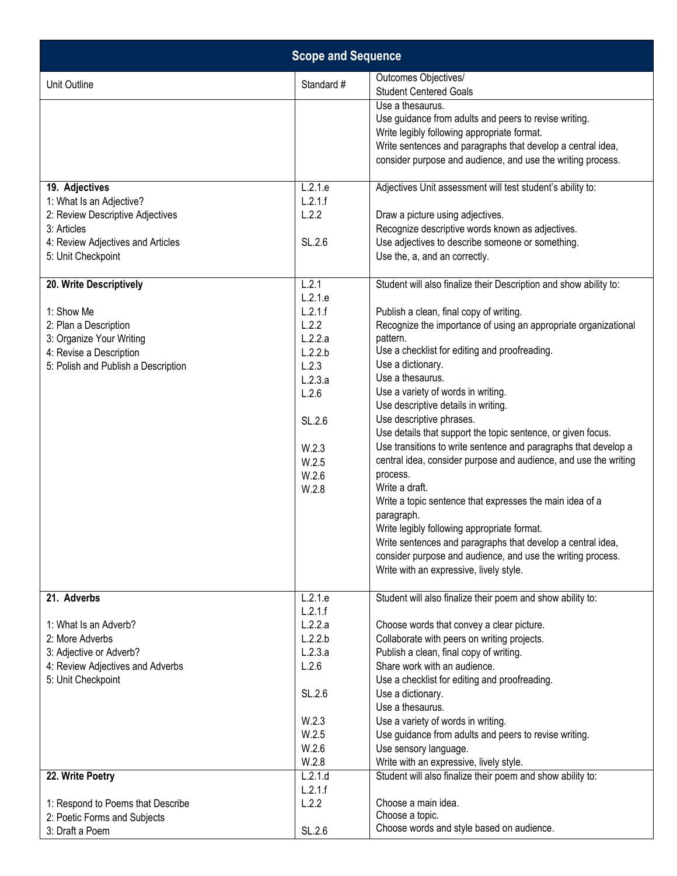|                                                                                                                                                              | <b>Scope and Sequence</b>                                                                                                             |                                                                                                                                                                                                                                                                                                                                                                                                                                                                                                                                                                                                                                                                                                                                                                                                                                                                                                                                       |
|--------------------------------------------------------------------------------------------------------------------------------------------------------------|---------------------------------------------------------------------------------------------------------------------------------------|---------------------------------------------------------------------------------------------------------------------------------------------------------------------------------------------------------------------------------------------------------------------------------------------------------------------------------------------------------------------------------------------------------------------------------------------------------------------------------------------------------------------------------------------------------------------------------------------------------------------------------------------------------------------------------------------------------------------------------------------------------------------------------------------------------------------------------------------------------------------------------------------------------------------------------------|
| Unit Outline                                                                                                                                                 | Standard #                                                                                                                            | Outcomes Objectives/<br><b>Student Centered Goals</b>                                                                                                                                                                                                                                                                                                                                                                                                                                                                                                                                                                                                                                                                                                                                                                                                                                                                                 |
|                                                                                                                                                              |                                                                                                                                       | Use a thesaurus.<br>Use guidance from adults and peers to revise writing.<br>Write legibly following appropriate format.<br>Write sentences and paragraphs that develop a central idea,<br>consider purpose and audience, and use the writing process.                                                                                                                                                                                                                                                                                                                                                                                                                                                                                                                                                                                                                                                                                |
| 19. Adjectives<br>1: What Is an Adjective?<br>2: Review Descriptive Adjectives<br>3: Articles<br>4: Review Adjectives and Articles<br>5: Unit Checkpoint     | L.2.1.e<br>L.2.1.f<br>L.2.2<br>SL.2.6                                                                                                 | Adjectives Unit assessment will test student's ability to:<br>Draw a picture using adjectives.<br>Recognize descriptive words known as adjectives.<br>Use adjectives to describe someone or something.<br>Use the, a, and an correctly.                                                                                                                                                                                                                                                                                                                                                                                                                                                                                                                                                                                                                                                                                               |
| 20. Write Descriptively<br>1: Show Me<br>2: Plan a Description<br>3: Organize Your Writing<br>4: Revise a Description<br>5: Polish and Publish a Description | L.2.1<br>L.2.1.e<br>L.2.1.f<br>L.2.2<br>L.2.2.a<br>L.2.2.b<br>L.2.3<br>L.2.3.a<br>L.2.6<br>SL.2.6<br>W.2.3<br>W.2.5<br>W.2.6<br>W.2.8 | Student will also finalize their Description and show ability to:<br>Publish a clean, final copy of writing.<br>Recognize the importance of using an appropriate organizational<br>pattern.<br>Use a checklist for editing and proofreading.<br>Use a dictionary.<br>Use a thesaurus.<br>Use a variety of words in writing.<br>Use descriptive details in writing.<br>Use descriptive phrases.<br>Use details that support the topic sentence, or given focus.<br>Use transitions to write sentence and paragraphs that develop a<br>central idea, consider purpose and audience, and use the writing<br>process.<br>Write a draft.<br>Write a topic sentence that expresses the main idea of a<br>paragraph.<br>Write legibly following appropriate format.<br>Write sentences and paragraphs that develop a central idea,<br>consider purpose and audience, and use the writing process.<br>Write with an expressive, lively style. |
| 21. Adverbs<br>1: What Is an Adverb?<br>2: More Adverbs<br>3: Adjective or Adverb?<br>4: Review Adjectives and Adverbs<br>5: Unit Checkpoint                 | L.2.1.e<br>L.2.1.f<br>L.2.2.a<br>L.2.2.b<br>L.2.3.a<br>L.2.6<br>SL.2.6<br>W.2.3<br>W.2.5<br>W.2.6<br>W.2.8                            | Student will also finalize their poem and show ability to:<br>Choose words that convey a clear picture.<br>Collaborate with peers on writing projects.<br>Publish a clean, final copy of writing.<br>Share work with an audience.<br>Use a checklist for editing and proofreading.<br>Use a dictionary.<br>Use a thesaurus.<br>Use a variety of words in writing.<br>Use guidance from adults and peers to revise writing.<br>Use sensory language.<br>Write with an expressive, lively style.                                                                                                                                                                                                                                                                                                                                                                                                                                        |
| 22. Write Poetry<br>1: Respond to Poems that Describe<br>2: Poetic Forms and Subjects<br>3: Draft a Poem                                                     | L.2.1.d<br>L.2.1.f<br>L.2.2<br>SL.2.6                                                                                                 | Student will also finalize their poem and show ability to:<br>Choose a main idea.<br>Choose a topic.<br>Choose words and style based on audience.                                                                                                                                                                                                                                                                                                                                                                                                                                                                                                                                                                                                                                                                                                                                                                                     |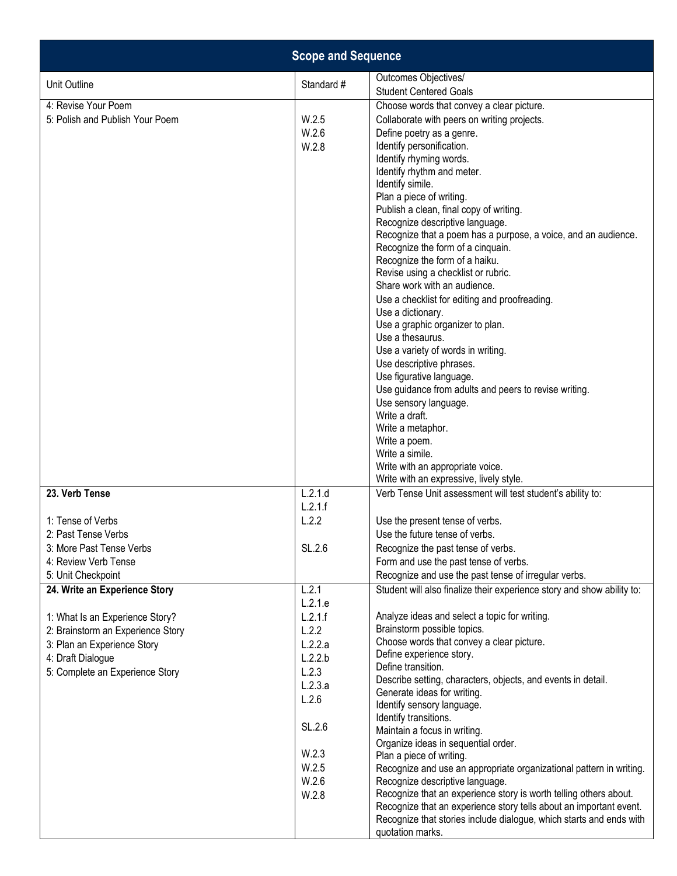|                                                                                                                                                                                                                                                                                                                                      | <b>Scope and Sequence</b>                                                                                                                                                      |                                                                                                                                                                                                                                                                                                                                                                                                                                                                                                                                                                                                                                                                                                                                                                                                                                                                                                                                                                                                                                                                                                                                          |
|--------------------------------------------------------------------------------------------------------------------------------------------------------------------------------------------------------------------------------------------------------------------------------------------------------------------------------------|--------------------------------------------------------------------------------------------------------------------------------------------------------------------------------|------------------------------------------------------------------------------------------------------------------------------------------------------------------------------------------------------------------------------------------------------------------------------------------------------------------------------------------------------------------------------------------------------------------------------------------------------------------------------------------------------------------------------------------------------------------------------------------------------------------------------------------------------------------------------------------------------------------------------------------------------------------------------------------------------------------------------------------------------------------------------------------------------------------------------------------------------------------------------------------------------------------------------------------------------------------------------------------------------------------------------------------|
| Unit Outline                                                                                                                                                                                                                                                                                                                         | Standard #                                                                                                                                                                     | Outcomes Objectives/<br><b>Student Centered Goals</b>                                                                                                                                                                                                                                                                                                                                                                                                                                                                                                                                                                                                                                                                                                                                                                                                                                                                                                                                                                                                                                                                                    |
| 4: Revise Your Poem<br>5: Polish and Publish Your Poem                                                                                                                                                                                                                                                                               | W.2.5<br>W.2.6<br>W.2.8                                                                                                                                                        | Choose words that convey a clear picture.<br>Collaborate with peers on writing projects.<br>Define poetry as a genre.<br>Identify personification.<br>Identify rhyming words.<br>Identify rhythm and meter.<br>Identify simile.<br>Plan a piece of writing.<br>Publish a clean, final copy of writing.<br>Recognize descriptive language.<br>Recognize that a poem has a purpose, a voice, and an audience.<br>Recognize the form of a cinquain.<br>Recognize the form of a haiku.<br>Revise using a checklist or rubric.<br>Share work with an audience.<br>Use a checklist for editing and proofreading.<br>Use a dictionary.<br>Use a graphic organizer to plan.<br>Use a thesaurus.<br>Use a variety of words in writing.<br>Use descriptive phrases.<br>Use figurative language.<br>Use guidance from adults and peers to revise writing.<br>Use sensory language.<br>Write a draft.<br>Write a metaphor.<br>Write a poem.<br>Write a simile.<br>Write with an appropriate voice.<br>Write with an expressive, lively style.                                                                                                        |
| 23. Verb Tense<br>1: Tense of Verbs<br>2: Past Tense Verbs<br>3: More Past Tense Verbs<br>4: Review Verb Tense<br>5: Unit Checkpoint<br>24. Write an Experience Story<br>1: What Is an Experience Story?<br>2: Brainstorm an Experience Story<br>3: Plan an Experience Story<br>4: Draft Dialogue<br>5: Complete an Experience Story | L.2.1.d<br>L.2.1.f<br>L.2.2<br>SL.2.6<br>L.2.1<br>L.2.1.e<br>L.2.1.f<br>L.2.2<br>L.2.2.a<br>L.2.2.b<br>L.2.3<br>L.2.3.a<br>L.2.6<br>SL.2.6<br>W.2.3<br>W.2.5<br>W.2.6<br>W.2.8 | Verb Tense Unit assessment will test student's ability to:<br>Use the present tense of verbs.<br>Use the future tense of verbs.<br>Recognize the past tense of verbs.<br>Form and use the past tense of verbs.<br>Recognize and use the past tense of irregular verbs.<br>Student will also finalize their experience story and show ability to:<br>Analyze ideas and select a topic for writing.<br>Brainstorm possible topics.<br>Choose words that convey a clear picture.<br>Define experience story.<br>Define transition.<br>Describe setting, characters, objects, and events in detail.<br>Generate ideas for writing.<br>Identify sensory language.<br>Identify transitions.<br>Maintain a focus in writing.<br>Organize ideas in sequential order.<br>Plan a piece of writing.<br>Recognize and use an appropriate organizational pattern in writing.<br>Recognize descriptive language.<br>Recognize that an experience story is worth telling others about.<br>Recognize that an experience story tells about an important event.<br>Recognize that stories include dialogue, which starts and ends with<br>quotation marks. |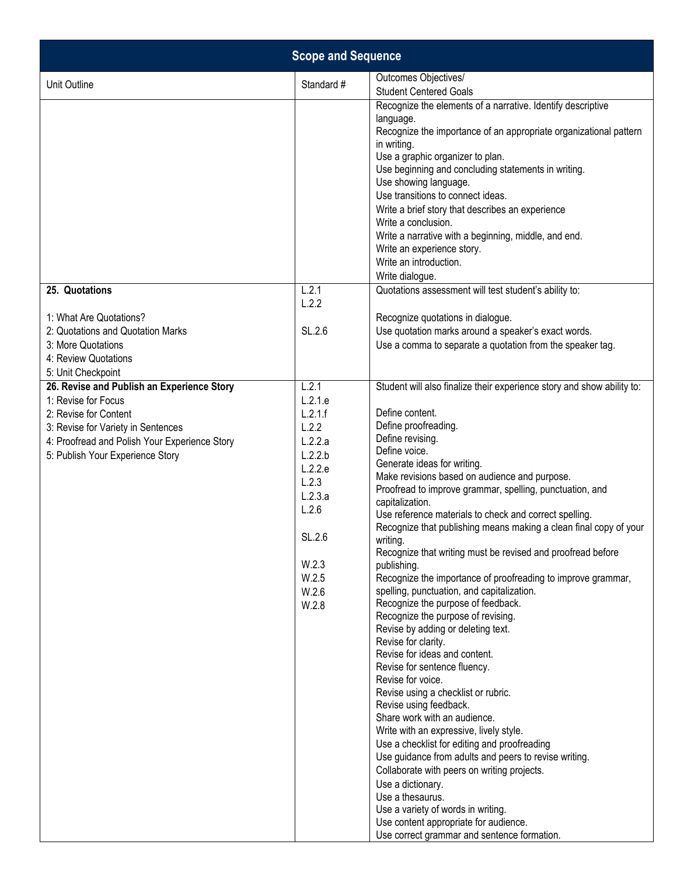|                                                                                                                                                                                                                       | <b>Scope and Sequence</b>                                                                                                                        |                                                                                                                                                                                                                                                                                                                                                                                                                                                                                                                                                                                                                                                                                                                                                                                                                                                                                                                                                                                                                                                                                                                                                                                                                                                                                                                                                                        |
|-----------------------------------------------------------------------------------------------------------------------------------------------------------------------------------------------------------------------|--------------------------------------------------------------------------------------------------------------------------------------------------|------------------------------------------------------------------------------------------------------------------------------------------------------------------------------------------------------------------------------------------------------------------------------------------------------------------------------------------------------------------------------------------------------------------------------------------------------------------------------------------------------------------------------------------------------------------------------------------------------------------------------------------------------------------------------------------------------------------------------------------------------------------------------------------------------------------------------------------------------------------------------------------------------------------------------------------------------------------------------------------------------------------------------------------------------------------------------------------------------------------------------------------------------------------------------------------------------------------------------------------------------------------------------------------------------------------------------------------------------------------------|
| Unit Outline                                                                                                                                                                                                          | Standard #                                                                                                                                       | Outcomes Objectives/<br><b>Student Centered Goals</b>                                                                                                                                                                                                                                                                                                                                                                                                                                                                                                                                                                                                                                                                                                                                                                                                                                                                                                                                                                                                                                                                                                                                                                                                                                                                                                                  |
| 25. Quotations<br>1: What Are Quotations?                                                                                                                                                                             | L.2.1<br>L.2.2                                                                                                                                   | Recognize the elements of a narrative. Identify descriptive<br>language.<br>Recognize the importance of an appropriate organizational pattern<br>in writing.<br>Use a graphic organizer to plan.<br>Use beginning and concluding statements in writing.<br>Use showing language.<br>Use transitions to connect ideas.<br>Write a brief story that describes an experience<br>Write a conclusion.<br>Write a narrative with a beginning, middle, and end.<br>Write an experience story.<br>Write an introduction.<br>Write dialogue.<br>Quotations assessment will test student's ability to:<br>Recognize quotations in dialogue.                                                                                                                                                                                                                                                                                                                                                                                                                                                                                                                                                                                                                                                                                                                                      |
| 2: Quotations and Quotation Marks                                                                                                                                                                                     | SL.2.6                                                                                                                                           | Use quotation marks around a speaker's exact words.                                                                                                                                                                                                                                                                                                                                                                                                                                                                                                                                                                                                                                                                                                                                                                                                                                                                                                                                                                                                                                                                                                                                                                                                                                                                                                                    |
| 3: More Quotations<br>4: Review Quotations<br>5: Unit Checkpoint                                                                                                                                                      |                                                                                                                                                  | Use a comma to separate a quotation from the speaker tag.                                                                                                                                                                                                                                                                                                                                                                                                                                                                                                                                                                                                                                                                                                                                                                                                                                                                                                                                                                                                                                                                                                                                                                                                                                                                                                              |
| 26. Revise and Publish an Experience Story<br>1: Revise for Focus<br>2: Revise for Content<br>3: Revise for Variety in Sentences<br>4: Proofread and Polish Your Experience Story<br>5: Publish Your Experience Story | L.2.1<br>L.2.1.e<br>L.2.1.f<br>L.2.2<br>L.2.2.a<br>L.2.2.b<br>L.2.2.e<br>L.2.3<br>L.2.3.a<br>L.2.6<br>SL.2.6<br>W.2.3<br>W.2.5<br>W.2.6<br>W.2.8 | Student will also finalize their experience story and show ability to:<br>Define content.<br>Define proofreading.<br>Define revising.<br>Define voice.<br>Generate ideas for writing.<br>Make revisions based on audience and purpose.<br>Proofread to improve grammar, spelling, punctuation, and<br>capitalization.<br>Use reference materials to check and correct spelling.<br>Recognize that publishing means making a clean final copy of your<br>writing.<br>Recognize that writing must be revised and proofread before<br>publishing.<br>Recognize the importance of proofreading to improve grammar,<br>spelling, punctuation, and capitalization.<br>Recognize the purpose of feedback.<br>Recognize the purpose of revising.<br>Revise by adding or deleting text.<br>Revise for clarity.<br>Revise for ideas and content.<br>Revise for sentence fluency.<br>Revise for voice.<br>Revise using a checklist or rubric.<br>Revise using feedback.<br>Share work with an audience.<br>Write with an expressive, lively style.<br>Use a checklist for editing and proofreading<br>Use guidance from adults and peers to revise writing.<br>Collaborate with peers on writing projects.<br>Use a dictionary.<br>Use a thesaurus.<br>Use a variety of words in writing.<br>Use content appropriate for audience.<br>Use correct grammar and sentence formation. |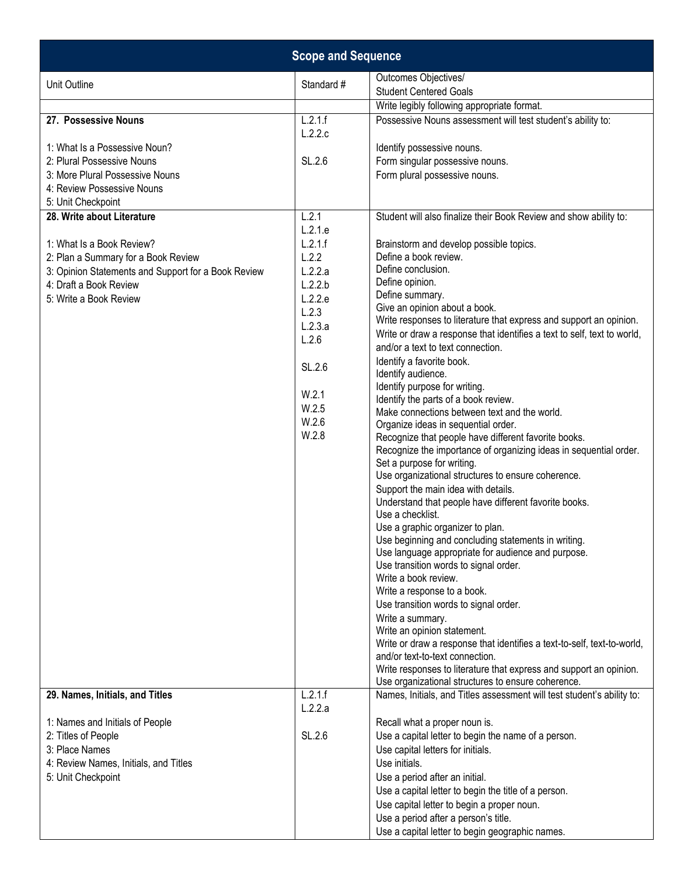|                                                     | <b>Scope and Sequence</b> |                                                                                                 |
|-----------------------------------------------------|---------------------------|-------------------------------------------------------------------------------------------------|
| Unit Outline                                        | Standard #                | Outcomes Objectives/                                                                            |
|                                                     |                           | <b>Student Centered Goals</b>                                                                   |
|                                                     |                           | Write legibly following appropriate format.                                                     |
| 27. Possessive Nouns                                | L.2.1.f                   | Possessive Nouns assessment will test student's ability to:                                     |
|                                                     | L.2.2.c                   |                                                                                                 |
| 1: What Is a Possessive Noun?                       |                           | Identify possessive nouns.                                                                      |
| 2: Plural Possessive Nouns                          | SL.2.6                    | Form singular possessive nouns.                                                                 |
| 3: More Plural Possessive Nouns                     |                           | Form plural possessive nouns.                                                                   |
| 4: Review Possessive Nouns                          |                           |                                                                                                 |
| 5: Unit Checkpoint                                  |                           |                                                                                                 |
| 28. Write about Literature                          | L.2.1                     | Student will also finalize their Book Review and show ability to:                               |
|                                                     | L.2.1.e                   |                                                                                                 |
| 1: What Is a Book Review?                           | L.2.1.f                   | Brainstorm and develop possible topics.                                                         |
| 2: Plan a Summary for a Book Review                 | L.2.2                     | Define a book review.                                                                           |
| 3: Opinion Statements and Support for a Book Review | L.2.2.a                   | Define conclusion.                                                                              |
| 4: Draft a Book Review                              | L.2.2.b                   | Define opinion.<br>Define summary.                                                              |
| 5: Write a Book Review                              | L.2.2.e                   | Give an opinion about a book.                                                                   |
|                                                     | L.2.3                     | Write responses to literature that express and support an opinion.                              |
|                                                     | L.2.3.a                   | Write or draw a response that identifies a text to self, text to world,                         |
|                                                     | L.2.6                     | and/or a text to text connection.                                                               |
|                                                     |                           | Identify a favorite book.                                                                       |
|                                                     | SL.2.6                    | Identify audience.                                                                              |
|                                                     | W.2.1                     | Identify purpose for writing.                                                                   |
|                                                     | W.2.5                     | Identify the parts of a book review.                                                            |
|                                                     | W.2.6                     | Make connections between text and the world.                                                    |
|                                                     | W.2.8                     | Organize ideas in sequential order.                                                             |
|                                                     |                           | Recognize that people have different favorite books.                                            |
|                                                     |                           | Recognize the importance of organizing ideas in sequential order.<br>Set a purpose for writing. |
|                                                     |                           | Use organizational structures to ensure coherence.                                              |
|                                                     |                           | Support the main idea with details.                                                             |
|                                                     |                           | Understand that people have different favorite books.                                           |
|                                                     |                           | Use a checklist.                                                                                |
|                                                     |                           | Use a graphic organizer to plan.                                                                |
|                                                     |                           | Use beginning and concluding statements in writing.                                             |
|                                                     |                           | Use language appropriate for audience and purpose.                                              |
|                                                     |                           | Use transition words to signal order.                                                           |
|                                                     |                           | Write a book review.                                                                            |
|                                                     |                           | Write a response to a book.<br>Use transition words to signal order.                            |
|                                                     |                           | Write a summary.                                                                                |
|                                                     |                           | Write an opinion statement.                                                                     |
|                                                     |                           | Write or draw a response that identifies a text-to-self, text-to-world,                         |
|                                                     |                           | and/or text-to-text connection.                                                                 |
|                                                     |                           | Write responses to literature that express and support an opinion.                              |
|                                                     |                           | Use organizational structures to ensure coherence.                                              |
| 29. Names, Initials, and Titles                     | L.2.1.f                   | Names, Initials, and Titles assessment will test student's ability to:                          |
|                                                     | L.2.2.a                   |                                                                                                 |
| 1: Names and Initials of People                     |                           | Recall what a proper noun is.                                                                   |
| 2: Titles of People                                 | SL.2.6                    | Use a capital letter to begin the name of a person.                                             |
| 3: Place Names                                      |                           | Use capital letters for initials.                                                               |
| 4: Review Names, Initials, and Titles               |                           | Use initials.                                                                                   |
| 5: Unit Checkpoint                                  |                           | Use a period after an initial.                                                                  |
|                                                     |                           | Use a capital letter to begin the title of a person.                                            |
|                                                     |                           | Use capital letter to begin a proper noun.                                                      |
|                                                     |                           | Use a period after a person's title.                                                            |
|                                                     |                           | Use a capital letter to begin geographic names.                                                 |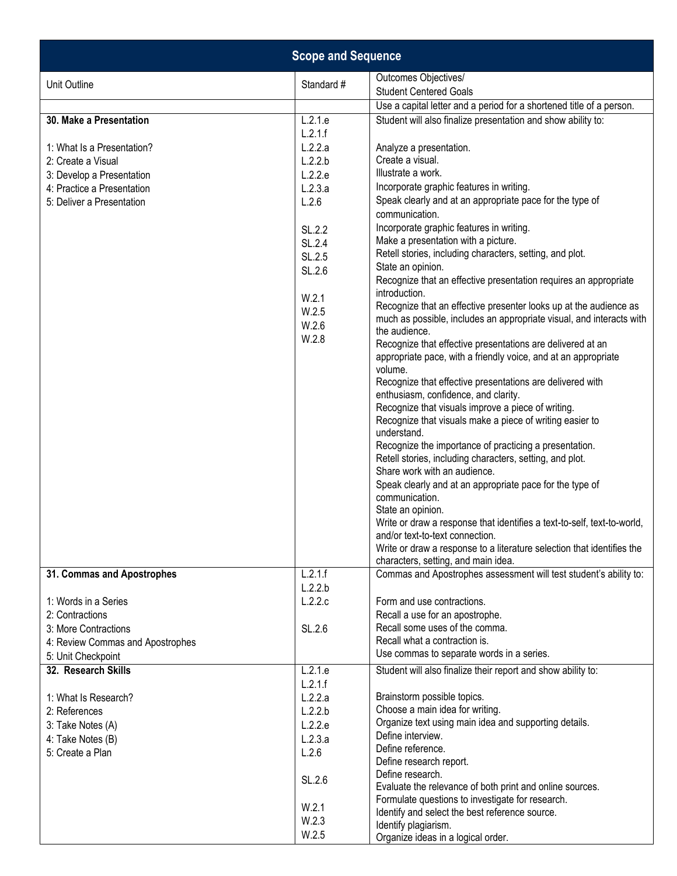|                                  | <b>Scope and Sequence</b> |                                                                                                                                         |
|----------------------------------|---------------------------|-----------------------------------------------------------------------------------------------------------------------------------------|
| Unit Outline                     | Standard #                | Outcomes Objectives/<br><b>Student Centered Goals</b>                                                                                   |
|                                  |                           | Use a capital letter and a period for a shortened title of a person.                                                                    |
| 30. Make a Presentation          | L.2.1.e<br>L.2.1.f        | Student will also finalize presentation and show ability to:                                                                            |
| 1: What Is a Presentation?       | L.2.2.a                   | Analyze a presentation.                                                                                                                 |
| 2: Create a Visual               | L.2.2.b                   | Create a visual.                                                                                                                        |
| 3: Develop a Presentation        | L.2.2.e                   | Illustrate a work.                                                                                                                      |
| 4: Practice a Presentation       | L.2.3.a                   | Incorporate graphic features in writing.                                                                                                |
| 5: Deliver a Presentation        | L.2.6                     | Speak clearly and at an appropriate pace for the type of<br>communication.                                                              |
|                                  | SL.2.2                    | Incorporate graphic features in writing.                                                                                                |
|                                  | SL.2.4                    | Make a presentation with a picture.                                                                                                     |
|                                  | SL.2.5                    | Retell stories, including characters, setting, and plot.                                                                                |
|                                  | SL.2.6                    | State an opinion.                                                                                                                       |
|                                  |                           | Recognize that an effective presentation requires an appropriate<br>introduction.                                                       |
|                                  | W.2.1                     | Recognize that an effective presenter looks up at the audience as                                                                       |
|                                  | W.2.5                     | much as possible, includes an appropriate visual, and interacts with                                                                    |
|                                  | W.2.6<br>W.2.8            | the audience.                                                                                                                           |
|                                  |                           | Recognize that effective presentations are delivered at an<br>appropriate pace, with a friendly voice, and at an appropriate<br>volume. |
|                                  |                           | Recognize that effective presentations are delivered with                                                                               |
|                                  |                           | enthusiasm, confidence, and clarity.                                                                                                    |
|                                  |                           | Recognize that visuals improve a piece of writing.                                                                                      |
|                                  |                           | Recognize that visuals make a piece of writing easier to                                                                                |
|                                  |                           | understand.                                                                                                                             |
|                                  |                           | Recognize the importance of practicing a presentation.                                                                                  |
|                                  |                           | Retell stories, including characters, setting, and plot.                                                                                |
|                                  |                           | Share work with an audience.                                                                                                            |
|                                  |                           | Speak clearly and at an appropriate pace for the type of<br>communication.                                                              |
|                                  |                           | State an opinion.                                                                                                                       |
|                                  |                           | Write or draw a response that identifies a text-to-self, text-to-world,                                                                 |
|                                  |                           | and/or text-to-text connection.                                                                                                         |
|                                  |                           | Write or draw a response to a literature selection that identifies the<br>characters, setting, and main idea.                           |
| 31. Commas and Apostrophes       | L.2.1.f                   | Commas and Apostrophes assessment will test student's ability to:                                                                       |
|                                  | L.2.2.b                   |                                                                                                                                         |
| 1: Words in a Series             | L.2.2.c                   | Form and use contractions.                                                                                                              |
| 2: Contractions                  |                           | Recall a use for an apostrophe.                                                                                                         |
| 3: More Contractions             | SL.2.6                    | Recall some uses of the comma.                                                                                                          |
| 4: Review Commas and Apostrophes |                           | Recall what a contraction is.                                                                                                           |
| 5: Unit Checkpoint               |                           | Use commas to separate words in a series.                                                                                               |
| 32. Research Skills              | L.2.1.e                   | Student will also finalize their report and show ability to:                                                                            |
|                                  | L.2.1.f                   |                                                                                                                                         |
| 1: What Is Research?             | L.2.2.a                   | Brainstorm possible topics.                                                                                                             |
| 2: References                    | L.2.2.b                   | Choose a main idea for writing.                                                                                                         |
| 3: Take Notes (A)                | L.2.2.e                   | Organize text using main idea and supporting details.                                                                                   |
| 4: Take Notes (B)                | L.2.3.a                   | Define interview.                                                                                                                       |
| 5: Create a Plan                 | L.2.6                     | Define reference.                                                                                                                       |
|                                  |                           | Define research report.                                                                                                                 |
|                                  | SL.2.6                    | Define research.                                                                                                                        |
|                                  |                           | Evaluate the relevance of both print and online sources.                                                                                |
|                                  | W.2.1                     | Formulate questions to investigate for research.                                                                                        |
|                                  | W.2.3                     | Identify and select the best reference source.<br>Identify plagiarism.                                                                  |
|                                  | W.2.5                     | Organize ideas in a logical order.                                                                                                      |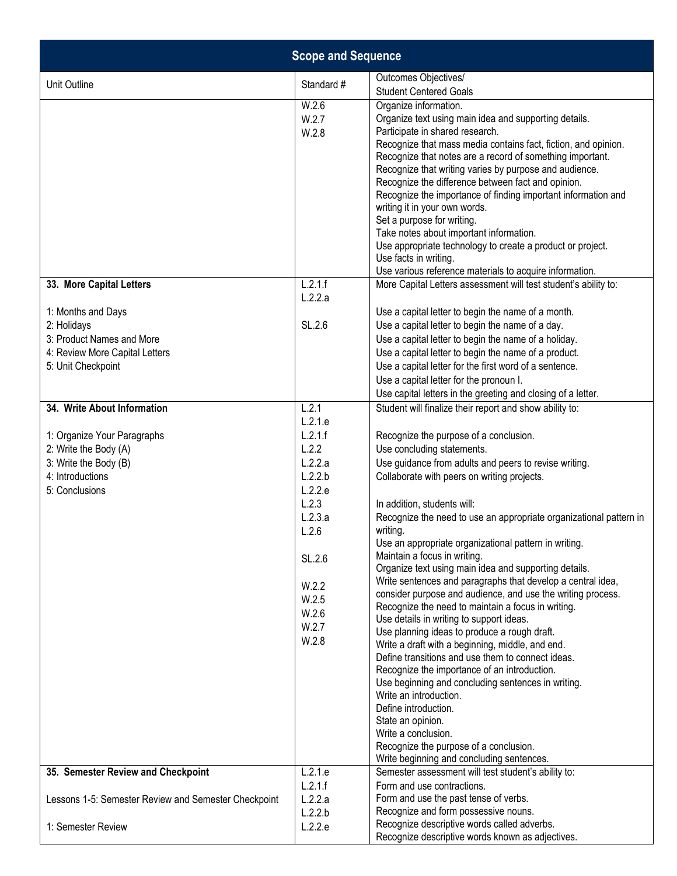| <b>Scope and Sequence</b>                                                                                                                          |                                                                                                                                       |                                                                                                                                                                                                                                                                                                                                                                                                                                                                                                                                                                                                                                                                                                                                                                                                                                                                                                                                                                                                                                                                                                                                     |
|----------------------------------------------------------------------------------------------------------------------------------------------------|---------------------------------------------------------------------------------------------------------------------------------------|-------------------------------------------------------------------------------------------------------------------------------------------------------------------------------------------------------------------------------------------------------------------------------------------------------------------------------------------------------------------------------------------------------------------------------------------------------------------------------------------------------------------------------------------------------------------------------------------------------------------------------------------------------------------------------------------------------------------------------------------------------------------------------------------------------------------------------------------------------------------------------------------------------------------------------------------------------------------------------------------------------------------------------------------------------------------------------------------------------------------------------------|
| Unit Outline                                                                                                                                       | Standard #                                                                                                                            | Outcomes Objectives/<br><b>Student Centered Goals</b>                                                                                                                                                                                                                                                                                                                                                                                                                                                                                                                                                                                                                                                                                                                                                                                                                                                                                                                                                                                                                                                                               |
|                                                                                                                                                    | W.2.6<br>W.2.7<br>W.2.8                                                                                                               | Organize information.<br>Organize text using main idea and supporting details.<br>Participate in shared research.<br>Recognize that mass media contains fact, fiction, and opinion.<br>Recognize that notes are a record of something important.<br>Recognize that writing varies by purpose and audience.<br>Recognize the difference between fact and opinion.<br>Recognize the importance of finding important information and<br>writing it in your own words.<br>Set a purpose for writing.<br>Take notes about important information.<br>Use appropriate technology to create a product or project.<br>Use facts in writing.<br>Use various reference materials to acquire information.                                                                                                                                                                                                                                                                                                                                                                                                                                       |
| 33. More Capital Letters<br>1: Months and Days<br>2: Holidays<br>3: Product Names and More<br>4: Review More Capital Letters<br>5: Unit Checkpoint | L.2.1.f<br>L.2.2.a<br>SL.2.6                                                                                                          | More Capital Letters assessment will test student's ability to:<br>Use a capital letter to begin the name of a month.<br>Use a capital letter to begin the name of a day.<br>Use a capital letter to begin the name of a holiday.<br>Use a capital letter to begin the name of a product.<br>Use a capital letter for the first word of a sentence.<br>Use a capital letter for the pronoun I.<br>Use capital letters in the greeting and closing of a letter.                                                                                                                                                                                                                                                                                                                                                                                                                                                                                                                                                                                                                                                                      |
| 34. Write About Information                                                                                                                        | L.2.1<br>L.2.1.e                                                                                                                      | Student will finalize their report and show ability to:                                                                                                                                                                                                                                                                                                                                                                                                                                                                                                                                                                                                                                                                                                                                                                                                                                                                                                                                                                                                                                                                             |
| 1: Organize Your Paragraphs<br>2: Write the Body (A)<br>3: Write the Body (B)<br>4: Introductions<br>5: Conclusions                                | L.2.1.f<br>L.2.2<br>L.2.2.a<br>L.2.2.b<br>L.2.2.e<br>L.2.3<br>L.2.3.a<br>L.2.6<br>SL.2.6<br>W.2.2<br>W.2.5<br>W.2.6<br>W.2.7<br>W.2.8 | Recognize the purpose of a conclusion.<br>Use concluding statements.<br>Use guidance from adults and peers to revise writing.<br>Collaborate with peers on writing projects.<br>In addition, students will:<br>Recognize the need to use an appropriate organizational pattern in<br>writing.<br>Use an appropriate organizational pattern in writing.<br>Maintain a focus in writing.<br>Organize text using main idea and supporting details.<br>Write sentences and paragraphs that develop a central idea,<br>consider purpose and audience, and use the writing process.<br>Recognize the need to maintain a focus in writing.<br>Use details in writing to support ideas.<br>Use planning ideas to produce a rough draft.<br>Write a draft with a beginning, middle, and end.<br>Define transitions and use them to connect ideas.<br>Recognize the importance of an introduction.<br>Use beginning and concluding sentences in writing.<br>Write an introduction.<br>Define introduction.<br>State an opinion.<br>Write a conclusion.<br>Recognize the purpose of a conclusion.<br>Write beginning and concluding sentences. |
| 35. Semester Review and Checkpoint                                                                                                                 | L.2.1.e<br>L.2.1.f                                                                                                                    | Semester assessment will test student's ability to:<br>Form and use contractions.                                                                                                                                                                                                                                                                                                                                                                                                                                                                                                                                                                                                                                                                                                                                                                                                                                                                                                                                                                                                                                                   |
| Lessons 1-5: Semester Review and Semester Checkpoint                                                                                               | L.2.2.a<br>L.2.2.b                                                                                                                    | Form and use the past tense of verbs.<br>Recognize and form possessive nouns.                                                                                                                                                                                                                                                                                                                                                                                                                                                                                                                                                                                                                                                                                                                                                                                                                                                                                                                                                                                                                                                       |
| 1: Semester Review                                                                                                                                 | L.2.2.e                                                                                                                               | Recognize descriptive words called adverbs.<br>Recognize descriptive words known as adjectives.                                                                                                                                                                                                                                                                                                                                                                                                                                                                                                                                                                                                                                                                                                                                                                                                                                                                                                                                                                                                                                     |